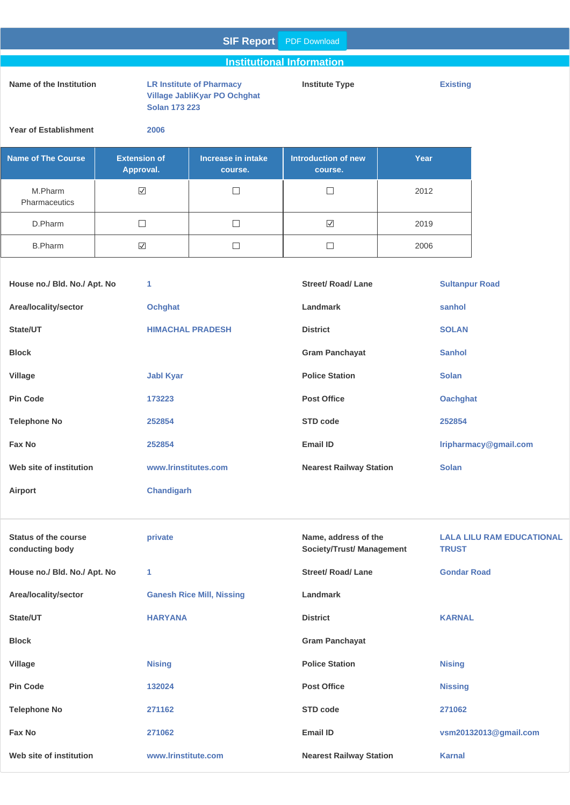#### **SIF Report** PDF Download

#### **Institutional Information**

#### **Name of the Institution LR Institute of Pharmacy**

**Village JabliKyar PO Ochghat Solan 173 223**

**Institute Type Existing**

**Year of Establishment 2006**

| <b>Name of The Course</b>       | <b>Extension of</b><br>Approval. | Increase in intake<br>course. | Introduction of new<br>course. | Year |
|---------------------------------|----------------------------------|-------------------------------|--------------------------------|------|
| M.Pharm<br><b>Pharmaceutics</b> | M                                |                               |                                | 2012 |
| D.Pharm                         |                                  |                               | ⊻                              | 2019 |
| <b>B.Pharm</b>                  | M                                |                               |                                | 2006 |

| House no./ Bld. No./ Apt. No | 1                       | <b>Street/ Road/ Lane</b>      | <b>Sultanpur Road</b> |
|------------------------------|-------------------------|--------------------------------|-----------------------|
| Area/locality/sector         | <b>Ochghat</b>          | Landmark                       | sanhol                |
| State/UT                     | <b>HIMACHAL PRADESH</b> | <b>District</b>                | <b>SOLAN</b>          |
| <b>Block</b>                 |                         | <b>Gram Panchayat</b>          | <b>Sanhol</b>         |
| Village                      | <b>Jabl Kyar</b>        | <b>Police Station</b>          | <b>Solan</b>          |
| <b>Pin Code</b>              | 173223                  | <b>Post Office</b>             | <b>Oachghat</b>       |
| <b>Telephone No</b>          | 252854                  | STD code                       | 252854                |
| Fax No                       | 252854                  | Email ID                       | Iripharmacy@gmail.com |
| Web site of institution      | www.lrinstitutes.com    | <b>Nearest Railway Station</b> | <b>Solan</b>          |
| Airport                      | <b>Chandigarh</b>       |                                |                       |

| <b>Status of the course</b><br>conducting body | private                          | Name, address of the<br><b>Society/Trust/ Management</b> | <b>LALA LILU RAM EDUCATIONAL</b><br><b>TRUST</b> |
|------------------------------------------------|----------------------------------|----------------------------------------------------------|--------------------------------------------------|
| House no./ Bld. No./ Apt. No                   | 1                                | <b>Street/ Road/ Lane</b>                                | <b>Gondar Road</b>                               |
| Area/locality/sector                           | <b>Ganesh Rice Mill, Nissing</b> | Landmark                                                 |                                                  |
| State/UT                                       | <b>HARYANA</b>                   | <b>District</b>                                          | <b>KARNAL</b>                                    |
| <b>Block</b>                                   |                                  | <b>Gram Panchayat</b>                                    |                                                  |
| Village                                        | <b>Nising</b>                    | <b>Police Station</b>                                    | <b>Nising</b>                                    |
| <b>Pin Code</b>                                | 132024                           | <b>Post Office</b>                                       | <b>Nissing</b>                                   |
| <b>Telephone No</b>                            | 271162                           | STD code                                                 | 271062                                           |
| Fax No                                         | 271062                           | Email ID                                                 | vsm20132013@gmail.com                            |
| Web site of institution                        | www.lrinstitute.com              | <b>Nearest Railway Station</b>                           | <b>Karnal</b>                                    |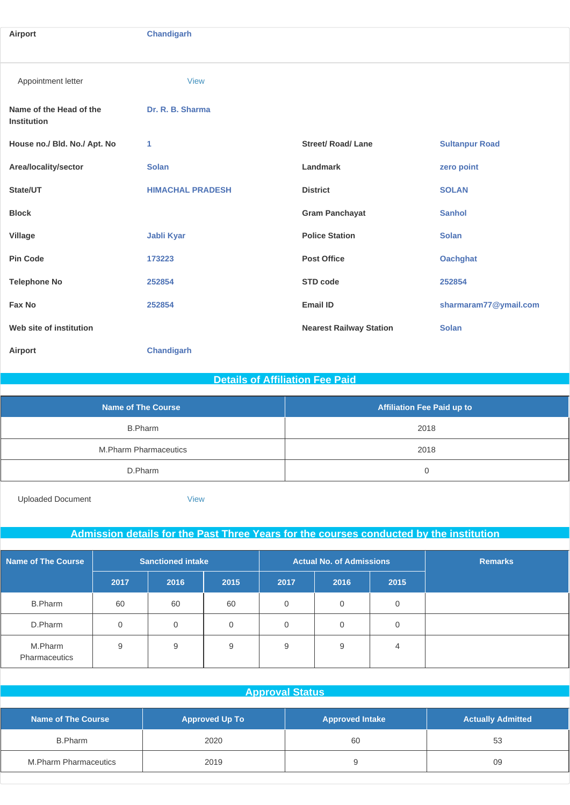| Airport                                       | <b>Chandigarh</b>       |                                |                       |
|-----------------------------------------------|-------------------------|--------------------------------|-----------------------|
|                                               |                         |                                |                       |
| Appointment letter                            | <b>View</b>             |                                |                       |
| Name of the Head of the<br><b>Institution</b> | Dr. R. B. Sharma        |                                |                       |
| House no./ Bld. No./ Apt. No                  | 1                       | <b>Street/ Road/ Lane</b>      | <b>Sultanpur Road</b> |
| Area/locality/sector                          | <b>Solan</b>            | Landmark                       | zero point            |
| State/UT                                      | <b>HIMACHAL PRADESH</b> | <b>District</b>                | <b>SOLAN</b>          |
| <b>Block</b>                                  |                         | <b>Gram Panchayat</b>          | <b>Sanhol</b>         |
| Village                                       | <b>Jabli Kyar</b>       | <b>Police Station</b>          | <b>Solan</b>          |
| <b>Pin Code</b>                               | 173223                  | <b>Post Office</b>             | <b>Oachghat</b>       |
| <b>Telephone No</b>                           | 252854                  | STD code                       | 252854                |
| Fax No                                        | 252854                  | <b>Email ID</b>                | sharmaram77@ymail.com |
| Web site of institution                       |                         | <b>Nearest Railway Station</b> | <b>Solan</b>          |
| Airport                                       | <b>Chandigarh</b>       |                                |                       |

#### **Details of Affiliation Fee Paid**

| <b>Name of The Course</b>    | <b>Affiliation Fee Paid up to</b> |
|------------------------------|-----------------------------------|
| <b>B.Pharm</b>               | 2018                              |
| <b>M.Pharm Pharmaceutics</b> | 2018                              |
| D.Pharm                      |                                   |

Uploaded Document [View](http://www.sif.nic.in/institute/getmongoPdfFile.do?renreceiptid=865f2b4e-8c8e-4329-b12a-67a5ac7a05e5&tablename=afficiationfee)

#### **Admission details for the Past Three Years for the courses conducted by the institution**

| <b>Name of The Course</b>       | <b>Sanctioned intake</b> |                | <b>Actual No. of Admissions</b> |             |             | <b>Remarks</b> |  |
|---------------------------------|--------------------------|----------------|---------------------------------|-------------|-------------|----------------|--|
|                                 | 2017                     | 2016           | 2015                            | 2017        | 2016        | 2015           |  |
| <b>B.Pharm</b>                  | 60                       | 60             | 60                              | $\mathbf 0$ | $\mathbf 0$ | 0              |  |
| D.Pharm                         | $\Omega$                 | $\overline{0}$ | $\Omega$                        | $\Omega$    | $\mathbf 0$ | 0              |  |
| M.Pharm<br><b>Pharmaceutics</b> | 9                        | 9              | 9                               | 9           | 9           | 4              |  |

#### **Approval Status**

| <b>Name of The Course</b> | <b>Approved Up To</b> | <b>Approved Intake</b> | <b>Actually Admitted</b> |
|---------------------------|-----------------------|------------------------|--------------------------|
| B.Pharm                   | 2020                  | 60                     | 53                       |
| M.Pharm Pharmaceutics     | 2019                  |                        | 09                       |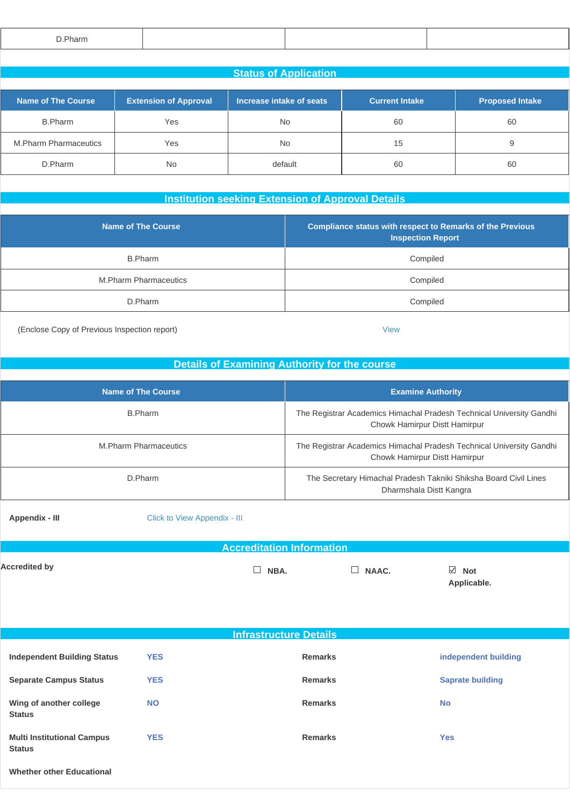| Pharm ~<br>the contract of the contract of the contract of |  |  |
|------------------------------------------------------------|--|--|
|                                                            |  |  |

| <b>Status of Application</b>                                                                                                      |           |           |    |    |  |  |
|-----------------------------------------------------------------------------------------------------------------------------------|-----------|-----------|----|----|--|--|
| Name of The Course<br>Increase intake of seats<br><b>Extension of Approval</b><br><b>Proposed Intake</b><br><b>Current Intake</b> |           |           |    |    |  |  |
| B.Pharm                                                                                                                           | Yes       | No        | 60 | 60 |  |  |
| <b>M.Pharm Pharmaceutics</b>                                                                                                      | Yes       | <b>No</b> | 15 |    |  |  |
| D.Pharm                                                                                                                           | <b>No</b> | default   | 60 | 60 |  |  |

#### **Institution seeking Extension of Approval Details**

| <b>Name of The Course</b>    | <b>Compliance status with respect to Remarks of the Previous</b><br><b>Inspection Report</b> |
|------------------------------|----------------------------------------------------------------------------------------------|
| B.Pharm                      | Compiled                                                                                     |
| <b>M.Pharm Pharmaceutics</b> | Compiled                                                                                     |
| D.Pharm                      | Compiled                                                                                     |

(Enclose Copy of Previous Inspection report) [View](http://www.sif.nic.in/institute/getmongoPdfFile.do?renreceiptid=3dc00b10-9811-4e4a-a917-58f215890d9a&tablename=instutionseeking)

#### **Details of Examining Authority for the course**

| <b>Name of The Course</b>    | <b>Examine Authority</b>                                                                              |
|------------------------------|-------------------------------------------------------------------------------------------------------|
| B.Pharm                      | The Registrar Academics Himachal Pradesh Technical University Gandhi<br>Chowk Hamirpur Distt Hamirpur |
| <b>M.Pharm Pharmaceutics</b> | The Registrar Academics Himachal Pradesh Technical University Gandhi<br>Chowk Hamirpur Distt Hamirpur |
| D.Pharm                      | The Secretary Himachal Pradesh Takniki Shiksha Board Civil Lines<br>Dharmshala Distt Kangra           |

**Appendix - III** [Click to View Appendix - II](http://www.sif.nic.in/institute/getmongoPdfFile.do?renreceiptid=3f774b0e-7ad0-4e11-915b-c456a4b610cf&tablename=appendix_c)I

#### **Accreditation Information**

Accredited by  $\Box$  NBA.  $\Box$  NAAC.  $\Box$  Not

**Applicable.**

| <b>Infrastructure Details</b>                      |            |                |                         |  |
|----------------------------------------------------|------------|----------------|-------------------------|--|
| <b>Independent Building Status</b>                 | <b>YES</b> | <b>Remarks</b> | independent building    |  |
| <b>Separate Campus Status</b>                      | <b>YES</b> | <b>Remarks</b> | <b>Saprate building</b> |  |
| Wing of another college<br><b>Status</b>           | <b>NO</b>  | <b>Remarks</b> | <b>No</b>               |  |
| <b>Multi Institutional Campus</b><br><b>Status</b> | <b>YES</b> | <b>Remarks</b> | <b>Yes</b>              |  |
|                                                    |            |                |                         |  |

**Whether other Educational**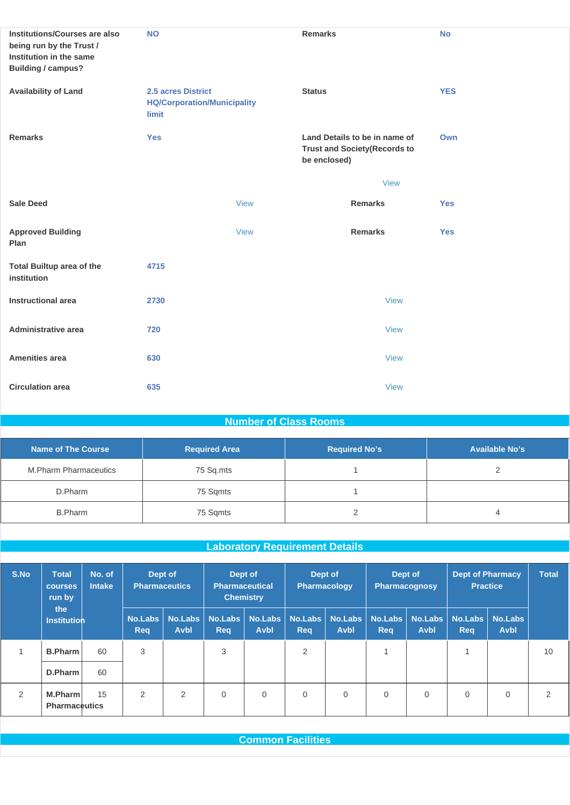| Institutions/Courses are also<br>being run by the Trust /<br>Institution in the same<br><b>Building / campus?</b> | <b>NO</b>                                                         | <b>Remarks</b>                                                                        | <b>No</b>  |
|-------------------------------------------------------------------------------------------------------------------|-------------------------------------------------------------------|---------------------------------------------------------------------------------------|------------|
| <b>Availability of Land</b>                                                                                       | 2.5 acres District<br><b>HQ/Corporation/Municipality</b><br>limit | <b>Status</b>                                                                         | <b>YES</b> |
| <b>Remarks</b>                                                                                                    | <b>Yes</b>                                                        | Land Details to be in name of<br><b>Trust and Society (Records to</b><br>be enclosed) | Own        |
|                                                                                                                   |                                                                   | <b>View</b>                                                                           |            |
| <b>Sale Deed</b>                                                                                                  | <b>View</b>                                                       | <b>Remarks</b>                                                                        | <b>Yes</b> |
| <b>Approved Building</b><br>Plan                                                                                  | <b>View</b>                                                       | <b>Remarks</b>                                                                        | <b>Yes</b> |
| <b>Total Builtup area of the</b><br>institution                                                                   | 4715                                                              |                                                                                       |            |
| <b>Instructional area</b>                                                                                         | 2730                                                              | <b>View</b>                                                                           |            |
| Administrative area                                                                                               | 720                                                               | <b>View</b>                                                                           |            |
| <b>Amenities area</b>                                                                                             | 630                                                               | <b>View</b>                                                                           |            |
| <b>Circulation area</b>                                                                                           | 635                                                               | <b>View</b>                                                                           |            |

#### **Number of Class Rooms**

| Name of The Course    | <b>Required Area</b> | <b>Required No's</b> | <b>Available No's</b> |
|-----------------------|----------------------|----------------------|-----------------------|
| M.Pharm Pharmaceutics | 75 Sq.mts            |                      |                       |
| D.Pharm               | 75 Sqmts             |                      |                       |
| B.Pharm               | 75 Sqmts             |                      |                       |

## **Laboratory Requirement Details**

| S.No<br><b>Total</b><br><b>courses</b><br>run by |                                        | No. of<br><b>Intake</b> | Dept of<br>Dept of<br><b>Pharmaceutics</b><br><b>Pharmaceutical</b><br><b>Chemistry</b> |                               | Dept of<br><b>Pharmacology</b> |                               | Dept of<br><b>Pharmacognosy</b> |                               | <b>Dept of Pharmacy</b><br><b>Practice</b> |                               | <b>Total</b>          |                               |    |
|--------------------------------------------------|----------------------------------------|-------------------------|-----------------------------------------------------------------------------------------|-------------------------------|--------------------------------|-------------------------------|---------------------------------|-------------------------------|--------------------------------------------|-------------------------------|-----------------------|-------------------------------|----|
|                                                  | the<br><b>Institution</b>              |                         | <b>No.Labs</b><br><b>Req</b>                                                            | <b>No.Labs</b><br><b>Avbl</b> | No.Labs<br><b>Req</b>          | <b>No.Labs</b><br><b>Avbl</b> | <b>No.Labs</b><br><b>Req</b>    | <b>No.Labs</b><br><b>Avbl</b> | No.Labs<br><b>Req</b>                      | <b>No.Labs</b><br><b>Avbl</b> | No.Labs<br><b>Req</b> | <b>No.Labs</b><br><b>Avbl</b> |    |
|                                                  | <b>B.Pharm</b>                         | 60                      | 3                                                                                       |                               | 3                              |                               | $\overline{2}$                  |                               | 4                                          |                               |                       |                               | 10 |
|                                                  | D.Pharm                                | 60                      |                                                                                         |                               |                                |                               |                                 |                               |                                            |                               |                       |                               |    |
| $\overline{2}$                                   | <b>M.Pharm</b><br><b>Pharmaceutics</b> | 15                      | $\overline{2}$                                                                          | 2                             | $\mathbf 0$                    | $\mathbf{0}$                  | $\mathbf{0}$                    | $\mathbf{0}$                  | $\mathbf{0}$                               | $\overline{0}$                | $\mathbf{0}$          | $\mathbf 0$                   | っ  |

**Common Facilities**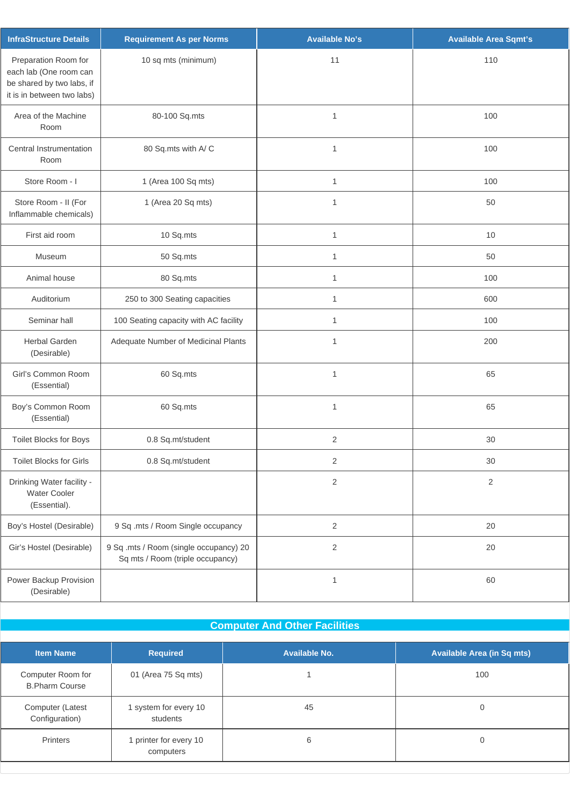| <b>InfraStructure Details</b>                                                                             | <b>Requirement As per Norms</b>                                            | <b>Available No's</b> | <b>Available Area Sqmt's</b> |
|-----------------------------------------------------------------------------------------------------------|----------------------------------------------------------------------------|-----------------------|------------------------------|
| Preparation Room for<br>each lab (One room can<br>be shared by two labs, if<br>it is in between two labs) | 10 sq mts (minimum)                                                        | 11                    | 110                          |
| Area of the Machine<br>Room                                                                               | 80-100 Sq.mts                                                              | $\mathbf{1}$          | 100                          |
| Central Instrumentation<br>Room                                                                           | 80 Sq.mts with A/C                                                         | $\mathbf{1}$          | 100                          |
| Store Room - I                                                                                            | 1 (Area 100 Sq mts)                                                        | 1                     | 100                          |
| Store Room - II (For<br>Inflammable chemicals)                                                            | 1 (Area 20 Sq mts)                                                         | $\mathbf{1}$          | 50                           |
| First aid room                                                                                            | 10 Sq.mts                                                                  | $\mathbf{1}$          | 10                           |
| Museum                                                                                                    | 50 Sq.mts                                                                  | $\mathbf{1}$          | 50                           |
| Animal house                                                                                              | 80 Sq.mts                                                                  | 1                     | 100                          |
| Auditorium                                                                                                | 250 to 300 Seating capacities                                              | 1                     | 600                          |
| Seminar hall                                                                                              | 100 Seating capacity with AC facility                                      | 1                     | 100                          |
| <b>Herbal Garden</b><br>(Desirable)                                                                       | Adequate Number of Medicinal Plants                                        | $\mathbf{1}$          | 200                          |
| Girl's Common Room<br>(Essential)                                                                         | 60 Sq.mts                                                                  | $\mathbf{1}$          | 65                           |
| Boy's Common Room<br>(Essential)                                                                          | 60 Sq.mts                                                                  | $\mathbf{1}$          | 65                           |
| Toilet Blocks for Boys                                                                                    | 0.8 Sq.mt/student                                                          | $\overline{2}$        | 30                           |
| <b>Toilet Blocks for Girls</b>                                                                            | 0.8 Sq.mt/student                                                          | 2                     | 30                           |
| Drinking Water facility -<br><b>Water Cooler</b><br>(Essential).                                          |                                                                            | $\overline{2}$        | $\sqrt{2}$                   |
| Boy's Hostel (Desirable)                                                                                  | 9 Sq .mts / Room Single occupancy                                          | $\overline{2}$        | $20\,$                       |
| Gir's Hostel (Desirable)                                                                                  | 9 Sq .mts / Room (single occupancy) 20<br>Sq mts / Room (triple occupancy) | $\overline{2}$        | 20                           |
| Power Backup Provision<br>(Desirable)                                                                     |                                                                            | $\mathbf{1}$          | 60                           |

# **Computer And Other Facilities**

| <b>Item Name</b>                           | <b>Required</b>                     | Available No. | <b>Available Area (in Sq mts)</b> |
|--------------------------------------------|-------------------------------------|---------------|-----------------------------------|
| Computer Room for<br><b>B.Pharm Course</b> | 01 (Area 75 Sq mts)                 |               | 100                               |
| Computer (Latest<br>Configuration)         | 1 system for every 10<br>students   | 45            | O                                 |
| Printers                                   | I printer for every 10<br>computers | 6             | 0                                 |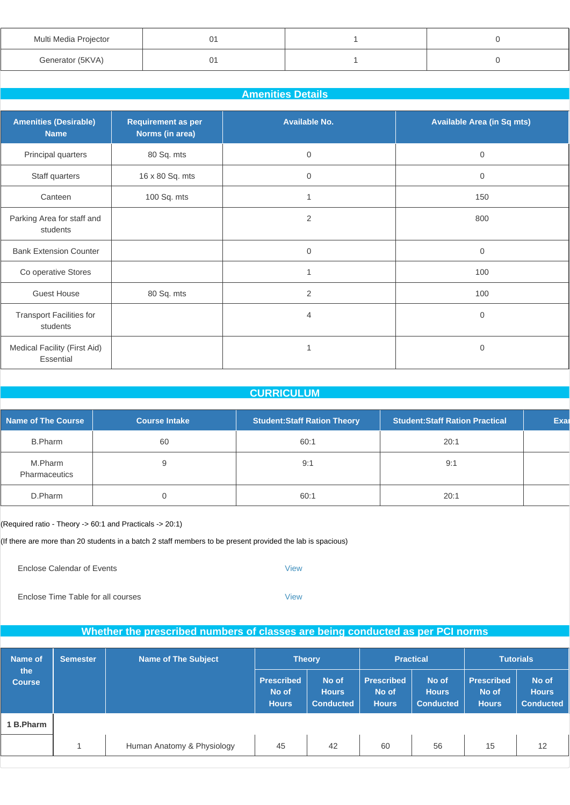| Multi Media Projector |  |  |
|-----------------------|--|--|
| Generator (5KVA)      |  |  |

#### **Amenities Details**

| <b>Amenities (Desirable)</b><br><b>Name</b> | <b>Requirement as per</b><br>Norms (in area) | <b>Available No.</b> | <b>Available Area (in Sq mts)</b> |
|---------------------------------------------|----------------------------------------------|----------------------|-----------------------------------|
| Principal quarters                          | 80 Sq. mts                                   | $\boldsymbol{0}$     | $\mathbf 0$                       |
| Staff quarters                              | 16 x 80 Sq. mts                              | $\boldsymbol{0}$     | $\mathbf 0$                       |
| Canteen                                     | 100 Sq. mts                                  |                      | 150                               |
| Parking Area for staff and<br>students      |                                              | $\overline{2}$       | 800                               |
| <b>Bank Extension Counter</b>               |                                              | $\mathbf 0$          | $\mathbf{0}$                      |
| Co operative Stores                         |                                              | $\overline{1}$       | 100                               |
| <b>Guest House</b>                          | 80 Sq. mts                                   | $\overline{2}$       | 100                               |
| <b>Transport Facilities for</b><br>students |                                              | 4                    | 0                                 |
| Medical Facility (First Aid)<br>Essential   |                                              |                      | 0                                 |

#### **CURRICULUM**

| Name of The Course       | <b>Course Intake</b> | <b>Student:Staff Ration Theory</b> | <b>Student:Staff Ration Practical</b> | Exal |
|--------------------------|----------------------|------------------------------------|---------------------------------------|------|
| <b>B.Pharm</b>           | 60                   | 60:1                               | 20:1                                  |      |
| M.Pharm<br>Pharmaceutics |                      | 9:1                                | 9:1                                   |      |
| D.Pharm                  |                      | 60:1                               | 20:1                                  |      |

(Required ratio - Theory -> 60:1 and Practicals -> 20:1)

(If there are more than 20 students in a batch 2 staff members to be present provided the lab is spacious)

Enclose Calendar of Events **[View](http://www.sif.nic.in/institute/getmongoPdfFile.do?renreceiptid=5db964ea-e84b-425c-8a63-9915cfc8f133&tablename=curriculam)** 

Enclose Time Table for all courses [View](http://www.sif.nic.in/institute/getmongoPdfFile.do?renreceiptid=091a42ea-6bba-464a-8f99-128d7629cd0a&tablename=timetable)

#### **Whether the prescribed numbers of classes are being conducted as per PCI norms**

| Name of              | <b>Semester</b> | <b>Name of The Subject</b> | <b>Theory</b>                              |                                           | <b>Practical</b>                           |                                           | <b>Tutorials</b>                           |                                           |
|----------------------|-----------------|----------------------------|--------------------------------------------|-------------------------------------------|--------------------------------------------|-------------------------------------------|--------------------------------------------|-------------------------------------------|
| the<br><b>Course</b> |                 |                            | <b>Prescribed</b><br>No of<br><b>Hours</b> | No of<br><b>Hours</b><br><b>Conducted</b> | <b>Prescribed</b><br>No of<br><b>Hours</b> | No of<br><b>Hours</b><br><b>Conducted</b> | <b>Prescribed</b><br>No of<br><b>Hours</b> | No of<br><b>Hours</b><br><b>Conducted</b> |
| 1 B.Pharm            |                 |                            |                                            |                                           |                                            |                                           |                                            |                                           |
|                      |                 | Human Anatomy & Physiology | 45                                         | 42                                        | 60                                         | 56                                        | 15                                         | 12                                        |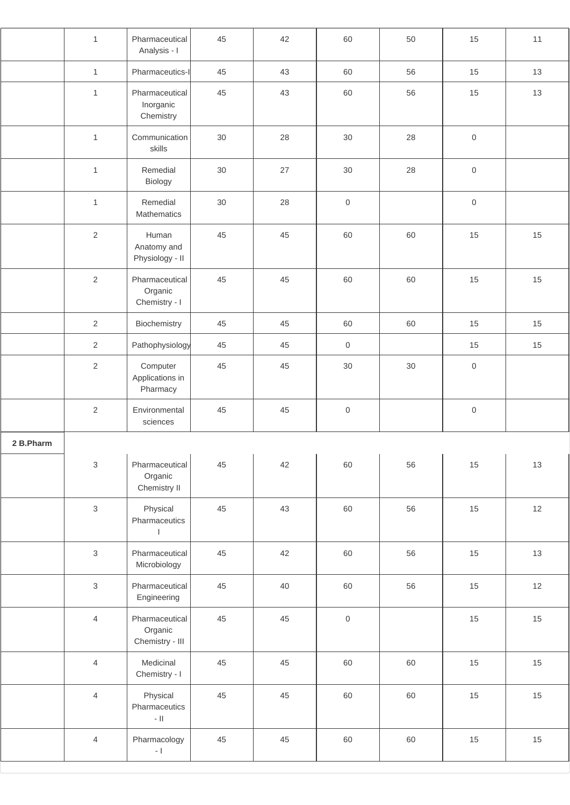|           | $\mathbf{1}$              | Pharmaceutical<br>Analysis - I               | 45 | 42 | 60                  | 50 | 15                  | 11 |
|-----------|---------------------------|----------------------------------------------|----|----|---------------------|----|---------------------|----|
|           | $\mathbf{1}$              | Pharmaceutics-I                              | 45 | 43 | 60                  | 56 | 15                  | 13 |
|           | $\mathbf{1}$              | Pharmaceutical<br>Inorganic<br>Chemistry     | 45 | 43 | 60                  | 56 | 15                  | 13 |
|           | $\mathbf{1}$              | Communication<br>skills                      | 30 | 28 | 30                  | 28 | $\,0\,$             |    |
|           | $\mathbf{1}$              | Remedial<br>Biology                          | 30 | 27 | 30                  | 28 | $\mathsf{O}\xspace$ |    |
|           | $\mathbf{1}$              | Remedial<br>Mathematics                      | 30 | 28 | $\mathsf{O}\xspace$ |    | $\mathsf{O}\xspace$ |    |
|           | $\sqrt{2}$                | Human<br>Anatomy and<br>Physiology - II      | 45 | 45 | 60                  | 60 | 15                  | 15 |
|           | $\sqrt{2}$                | Pharmaceutical<br>Organic<br>Chemistry - I   | 45 | 45 | 60                  | 60 | 15                  | 15 |
|           | $\overline{2}$            | Biochemistry                                 | 45 | 45 | 60                  | 60 | 15                  | 15 |
|           | $\overline{2}$            | Pathophysiology                              | 45 | 45 | $\mathsf{O}\xspace$ |    | 15                  | 15 |
|           | $\sqrt{2}$                | Computer<br>Applications in<br>Pharmacy      | 45 | 45 | 30                  | 30 | $\mathbf 0$         |    |
|           | $\sqrt{2}$                | Environmental<br>sciences                    | 45 | 45 | $\mathsf{O}$        |    | $\,0\,$             |    |
| 2 B.Pharm |                           |                                              |    |    |                     |    |                     |    |
|           | $\ensuremath{\mathsf{3}}$ | Pharmaceutical<br>Organic<br>Chemistry II    | 45 | 42 | 60                  | 56 | 15                  | 13 |
|           | $\mathfrak{S}$            | Physical<br>Pharmaceutics<br>$\mathbf{I}$    | 45 | 43 | 60                  | 56 | 15                  | 12 |
|           | $\mathfrak{S}$            | Pharmaceutical<br>Microbiology               | 45 | 42 | 60                  | 56 | 15                  | 13 |
|           | $\mathfrak{S}$            | Pharmaceutical<br>Engineering                | 45 | 40 | 60                  | 56 | 15                  | 12 |
|           | $\overline{4}$            | Pharmaceutical<br>Organic<br>Chemistry - III | 45 | 45 | $\mathsf{O}\xspace$ |    | 15                  | 15 |
|           | $\overline{4}$            | Medicinal<br>Chemistry - I                   | 45 | 45 | 60                  | 60 | 15                  | 15 |
|           | $\overline{4}$            | Physical<br>Pharmaceutics<br>$\sim$ 11 $\,$  | 45 | 45 | 60                  | 60 | 15                  | 15 |
|           | $\overline{4}$            | Pharmacology<br>$\overline{\phantom{a}}$ .   | 45 | 45 | 60                  | 60 | 15                  | 15 |
|           |                           |                                              |    |    |                     |    |                     |    |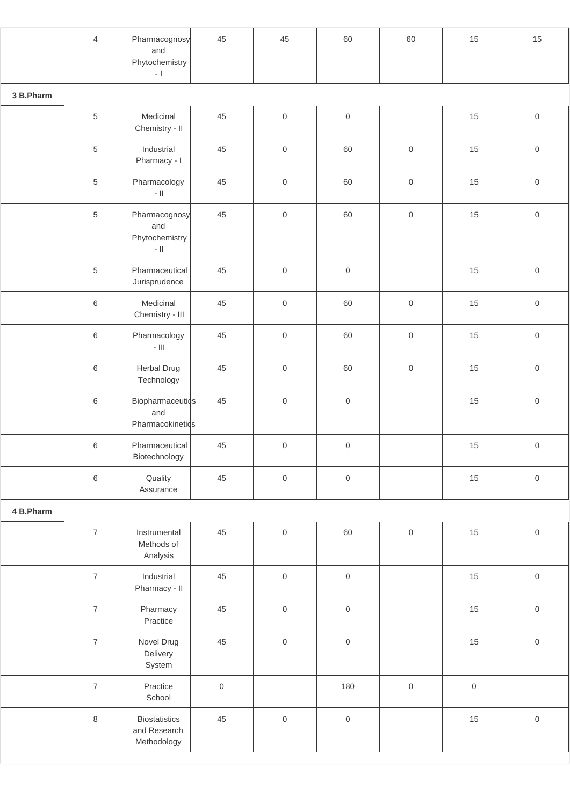|           | $\overline{4}$   | Pharmacognosy<br>and<br>Phytochemistry<br>$\sim$ [       | 45                  | 45                  | 60                  | 60                  | 15      | 15                  |
|-----------|------------------|----------------------------------------------------------|---------------------|---------------------|---------------------|---------------------|---------|---------------------|
| 3 B.Pharm |                  |                                                          |                     |                     |                     |                     |         |                     |
|           | $\,$ 5 $\,$      | Medicinal<br>Chemistry - II                              | 45                  | $\mathsf{O}\xspace$ | $\mathbf 0$         |                     | 15      | $\mathsf{O}\xspace$ |
|           | $\,$ 5 $\,$      | Industrial<br>Pharmacy - I                               | 45                  | $\mathsf{O}\xspace$ | 60                  | $\,0\,$             | 15      | $\mathsf{O}\xspace$ |
|           | $\,$ 5 $\,$      | Pharmacology<br>$\sim$ 11 $\,$                           | 45                  | $\mathsf{O}\xspace$ | 60                  | $\mathsf{O}\xspace$ | 15      | $\mathbf 0$         |
|           | $\sqrt{5}$       | Pharmacognosy<br>and<br>Phytochemistry<br>$\sim$ 11 $\,$ | 45                  | $\mathsf{O}\xspace$ | 60                  | $\,0\,$             | 15      | $\mathbf 0$         |
|           | $\sqrt{5}$       | Pharmaceutical<br>Jurisprudence                          | 45                  | $\mathsf{O}\xspace$ | $\mathsf{O}$        |                     | 15      | $\mathsf 0$         |
|           | $\,6$            | Medicinal<br>Chemistry - III                             | 45                  | $\mathsf{O}\xspace$ | 60                  | $\,0\,$             | 15      | $\mathsf 0$         |
|           | $\,6\,$          | Pharmacology<br>- $\vert\vert\vert$                      | 45                  | $\mathsf{O}\xspace$ | 60                  | $\,0\,$             | 15      | $\mathsf{O}\xspace$ |
|           | $\,6$            | Herbal Drug<br>Technology                                | 45                  | $\,0\,$             | 60                  | $\,0\,$             | 15      | $\mathsf{O}\xspace$ |
|           | $\,6$            | <b>Biopharmaceutics</b><br>and<br>Pharmacokinetids       | 45                  | $\mathsf{O}\xspace$ | $\mathsf{O}\xspace$ |                     | 15      | $\mathsf{O}\xspace$ |
|           | $\,$ 6 $\,$      | Pharmaceutical<br>Biotechnology                          | 45                  | $\mathsf{O}\xspace$ | $\mathsf{O}\xspace$ |                     | 15      | $\mathsf{O}\xspace$ |
|           | $\,6$            | Quality<br>Assurance                                     | 45                  | $\mathbf 0$         | $\,0\,$             |                     | 15      | $\mathsf{O}\xspace$ |
| 4 B.Pharm |                  |                                                          |                     |                     |                     |                     |         |                     |
|           | $\boldsymbol{7}$ | Instrumental<br>Methods of<br>Analysis                   | 45                  | $\mathsf{O}\xspace$ | 60                  | $\mathsf{O}\xspace$ | 15      | $\mathsf{O}\xspace$ |
|           | $\overline{7}$   | Industrial<br>Pharmacy - II                              | 45                  | $\,0\,$             | $\mathsf{O}\xspace$ |                     | 15      | $\mathbf 0$         |
|           | $\overline{7}$   | Pharmacy<br>Practice                                     | 45                  | $\mathbf 0$         | $\,0\,$             |                     | 15      | $\mathsf{O}\xspace$ |
|           | $\overline{7}$   | Novel Drug<br>Delivery<br>System                         | 45                  | $\mathbf 0$         | $\mathbf 0$         |                     | 15      | $\mathsf{O}\xspace$ |
|           | $\boldsymbol{7}$ | Practice<br>School                                       | $\mathsf{O}\xspace$ |                     | 180                 | $\mathbf 0$         | $\,0\,$ |                     |
|           | $\,8\,$          | <b>Biostatistics</b><br>and Research<br>Methodology      | 45                  | $\mathbf 0$         | $\,0\,$             |                     | 15      | $\mathbf 0$         |
|           |                  |                                                          |                     |                     |                     |                     |         |                     |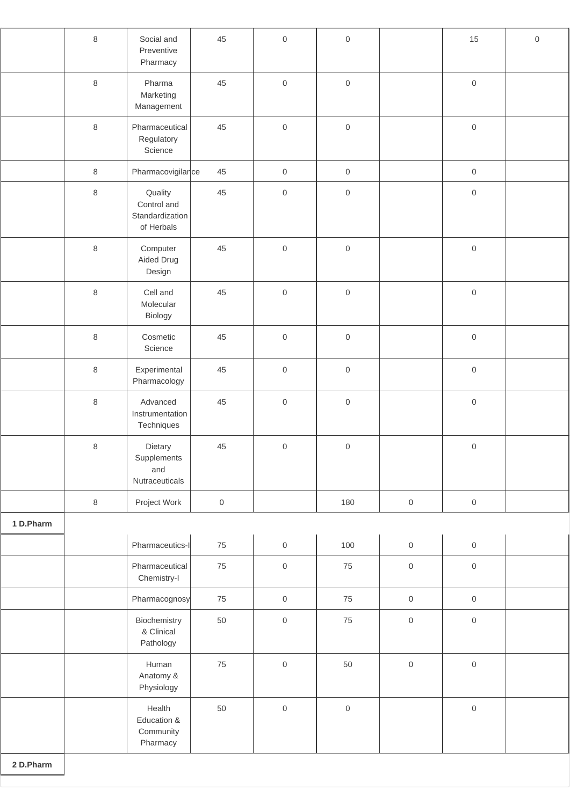|           | $\,8\,$ | Social and<br>Preventive<br>Pharmacy                    | 45                  | $\mathbf 0$         | $\mathsf 0$         |                     | 15                  | $\mathsf{O}\xspace$ |
|-----------|---------|---------------------------------------------------------|---------------------|---------------------|---------------------|---------------------|---------------------|---------------------|
|           | $\,8\,$ | Pharma<br>Marketing<br>Management                       | 45                  | $\mathsf{O}$        | $\mathsf{O}\xspace$ |                     | $\mathsf{O}$        |                     |
|           | $\,8\,$ | Pharmaceutical<br>Regulatory<br>Science                 | 45                  | $\mathsf{O}$        | $\,0\,$             |                     | $\,0\,$             |                     |
|           | $\,8\,$ | Pharmacovigilance                                       | 45                  | $\mathsf{O}\xspace$ | $\,0\,$             |                     | $\mathsf{O}$        |                     |
|           | $\,8\,$ | Quality<br>Control and<br>Standardization<br>of Herbals | 45                  | $\mathsf{O}\xspace$ | $\mathsf{O}$        |                     | $\mathsf{O}$        |                     |
|           | $\,8\,$ | Computer<br>Aided Drug<br>Design                        | 45                  | $\mathsf{O}$        | $\mathbf 0$         |                     | $\mathbf 0$         |                     |
|           | $\,8\,$ | Cell and<br>Molecular<br>Biology                        | 45                  | $\mathsf{O}$        | $\mathbf 0$         |                     | $\mathbf 0$         |                     |
|           | $\,8\,$ | Cosmetic<br>Science                                     | 45                  | $\mathsf{O}$        | $\mathsf{O}\xspace$ |                     | $\mathsf{O}\xspace$ |                     |
|           | $\,8\,$ | Experimental<br>Pharmacology                            | 45                  | $\,0\,$             | $\mathsf{O}\xspace$ |                     | $\,0\,$             |                     |
|           | $\,8\,$ | Advanced<br>Instrumentation<br>Techniques               | 45                  | $\mathsf{O}\xspace$ | $\,0\,$             |                     | $\mathsf{O}$        |                     |
|           | $\,8\,$ | Dietary<br>Supplements<br>and<br>Nutraceuticals         | 45                  | $\mathsf{O}\xspace$ | $\mathsf 0$         |                     | $\mathsf{O}$        |                     |
|           | $\,8\,$ | Project Work                                            | $\mathsf{O}\xspace$ |                     | 180                 | $\mathsf{O}\xspace$ | $\mathsf{O}\xspace$ |                     |
| 1 D.Pharm |         |                                                         |                     |                     |                     |                     |                     |                     |
|           |         | Pharmaceutics-I                                         | 75                  | $\mathsf{O}\xspace$ | 100                 | $\mathsf{O}\xspace$ | $\mathsf{O}\xspace$ |                     |
|           |         | Pharmaceutical<br>Chemistry-I                           | 75                  | $\mathsf{O}\xspace$ | 75                  | $\,0\,$             | $\mathsf{O}\xspace$ |                     |
|           |         | Pharmacognosy                                           | 75                  | $\mathsf{O}\xspace$ | 75                  | $\mathsf{O}\xspace$ | $\mathsf{O}$        |                     |
|           |         | Biochemistry<br>& Clinical<br>Pathology                 | 50                  | $\mathsf{O}$        | 75                  | $\mathsf{O}\xspace$ | $\mathsf{O}$        |                     |
|           |         | Human<br>Anatomy &<br>Physiology                        | 75                  | $\mathsf{O}\xspace$ | 50                  | $\,0\,$             | $\mathsf{O}\xspace$ |                     |
|           |         | Health<br>Education &<br>Community<br>Pharmacy          | 50                  | $\mathsf{O}$        | $\mathbf 0$         |                     | $\mathsf{O}\xspace$ |                     |
| 2 D.Pharm |         |                                                         |                     |                     |                     |                     |                     |                     |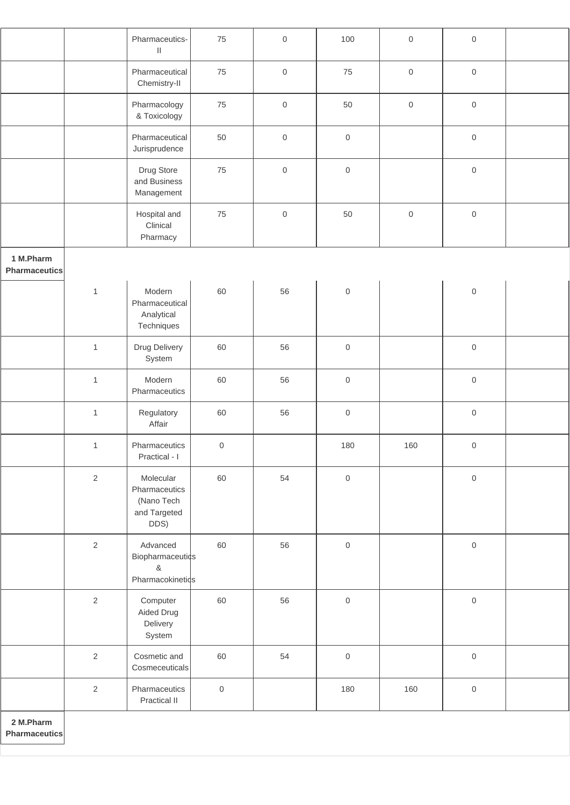|                                   |                | Pharmaceutics-<br>$\ensuremath{\mathsf{II}}$                     | 75                  | $\mathbf 0$ | 100                 | $\mathsf{O}\xspace$ | $\mathbf 0$ |  |
|-----------------------------------|----------------|------------------------------------------------------------------|---------------------|-------------|---------------------|---------------------|-------------|--|
|                                   |                | Pharmaceutical<br>Chemistry-II                                   | 75                  | $\mbox{O}$  | 75                  | $\,0\,$             | $\mbox{O}$  |  |
|                                   |                | Pharmacology<br>& Toxicology                                     | 75                  | $\mathbf 0$ | 50                  | $\mathsf{O}\xspace$ | $\mathbf 0$ |  |
|                                   |                | Pharmaceutical<br>Jurisprudence                                  | 50                  | $\mathbf 0$ | $\mathsf{O}\xspace$ |                     | $\mathbf 0$ |  |
|                                   |                | Drug Store<br>and Business<br>Management                         | 75                  | $\mathbf 0$ | $\mathbf 0$         |                     | $\mathbf 0$ |  |
|                                   |                | Hospital and<br>Clinical<br>Pharmacy                             | 75                  | $\mathbf 0$ | 50                  | $\mathsf{O}\xspace$ | $\mbox{O}$  |  |
| 1 M.Pharm<br><b>Pharmaceutics</b> |                |                                                                  |                     |             |                     |                     |             |  |
|                                   | $\mathbf{1}$   | Modern<br>Pharmaceutical<br>Analytical<br>Techniques             | 60                  | 56          | $\mathbf 0$         |                     | $\mathbf 0$ |  |
|                                   | $\mathbf{1}$   | Drug Delivery<br>System                                          | 60                  | 56          | $\mathbf 0$         |                     | $\mbox{O}$  |  |
|                                   | $\mathbf{1}$   | Modern<br>Pharmaceutics                                          | 60                  | 56          | $\mathbf 0$         |                     | $\mathbf 0$ |  |
|                                   | $\mathbf{1}$   | Regulatory<br>Affair                                             | 60                  | 56          | $\mathbf 0$         |                     | $\mathbf 0$ |  |
|                                   | $\mathbf{1}$   | Pharmaceutics<br>Practical - I                                   | 0                   |             | 180                 | 160                 | $\,0\,$     |  |
|                                   | $\overline{2}$ | Molecular<br>Pharmaceutics<br>(Nano Tech<br>and Targeted<br>DDS) | 60                  | 54          | $\mathbf 0$         |                     | $\mbox{O}$  |  |
|                                   | $\overline{2}$ | Advanced<br>Biopharmaceutics<br>$\&$<br>Pharmacokinetids         | 60                  | 56          | $\mathbf 0$         |                     | $\mbox{O}$  |  |
|                                   | $\overline{2}$ | Computer<br>Aided Drug<br>Delivery<br>System                     | 60                  | 56          | $\mathbf 0$         |                     | $\mathbf 0$ |  |
|                                   | $\overline{2}$ | Cosmetic and<br>Cosmeceuticals                                   | 60                  | 54          | $\mathsf{O}\xspace$ |                     | $\mathbf 0$ |  |
|                                   | $\overline{2}$ | Pharmaceutics<br>Practical II                                    | $\mathsf{O}\xspace$ |             | 180                 | 160                 | $\mathbf 0$ |  |
| 2 M.Pharm                         |                |                                                                  |                     |             |                     |                     |             |  |

**Pharmaceutics**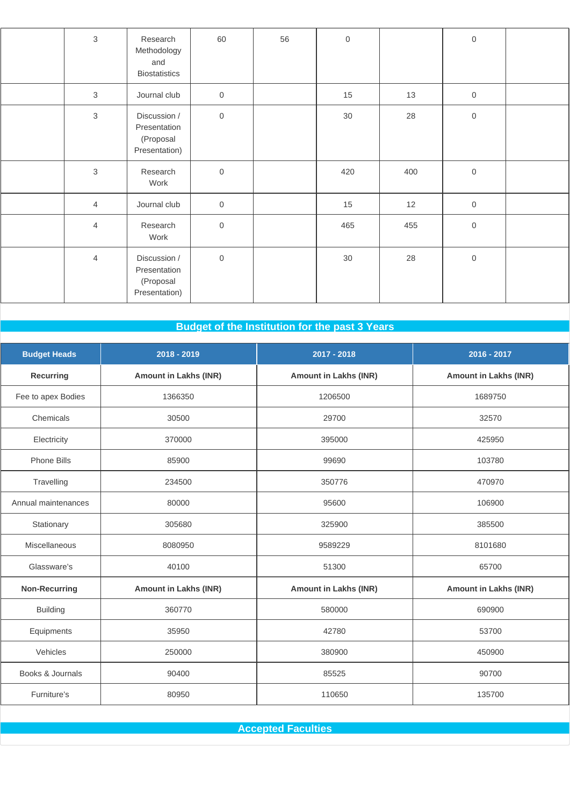| $\mathbf{3}$   | Research<br>Methodology<br>and<br><b>Biostatistics</b>     | 60          | 56 | $\mathsf{O}\xspace$ |     | $\mathsf{O}$ |  |
|----------------|------------------------------------------------------------|-------------|----|---------------------|-----|--------------|--|
| $\mathbf{3}$   | Journal club                                               | $\,0\,$     |    | 15                  | 13  | $\mathsf{O}$ |  |
| $\mathfrak{S}$ | Discussion /<br>Presentation<br>(Proposal<br>Presentation) | $\mathbf 0$ |    | $30\,$              | 28  | $\mathsf{O}$ |  |
| $\mathbf{3}$   | Research<br>Work                                           | $\mathbf 0$ |    | 420                 | 400 | $\mathsf{O}$ |  |
| $\overline{4}$ | Journal club                                               | $\mathbf 0$ |    | 15                  | 12  | $\mathsf{O}$ |  |
| $\overline{4}$ | Research<br>Work                                           | $\mathbf 0$ |    | 465                 | 455 | $\mathsf{O}$ |  |
| $\overline{4}$ | Discussion /<br>Presentation<br>(Proposal<br>Presentation) | $\mathbf 0$ |    | $30\,$              | 28  | $\,0\,$      |  |

# **Budget of the Institution for the past 3 Years**

| <b>Budget Heads</b>  | 2018 - 2019                  | 2017 - 2018                  | 2016 - 2017                  |
|----------------------|------------------------------|------------------------------|------------------------------|
| Recurring            | <b>Amount in Lakhs (INR)</b> | <b>Amount in Lakhs (INR)</b> | <b>Amount in Lakhs (INR)</b> |
| Fee to apex Bodies   | 1366350                      | 1206500                      | 1689750                      |
| Chemicals            | 30500                        | 29700                        | 32570                        |
| Electricity          | 370000                       | 395000                       | 425950                       |
| <b>Phone Bills</b>   | 85900                        | 99690                        | 103780                       |
| Travelling           | 234500                       | 350776                       | 470970                       |
| Annual maintenances  | 80000                        | 95600                        | 106900                       |
| Stationary           | 305680                       | 325900                       | 385500                       |
| Miscellaneous        | 8080950                      | 9589229                      | 8101680                      |
| Glassware's          | 40100                        | 51300                        | 65700                        |
| <b>Non-Recurring</b> | <b>Amount in Lakhs (INR)</b> | <b>Amount in Lakhs (INR)</b> | <b>Amount in Lakhs (INR)</b> |
| <b>Building</b>      | 360770                       | 580000                       | 690900                       |
| Equipments           | 35950                        | 42780                        | 53700                        |
| Vehicles             | 250000                       | 380900                       | 450900                       |
| Books & Journals     | 90400                        | 85525                        | 90700                        |
| Furniture's          | 80950                        | 110650                       | 135700                       |

**Accepted Faculties**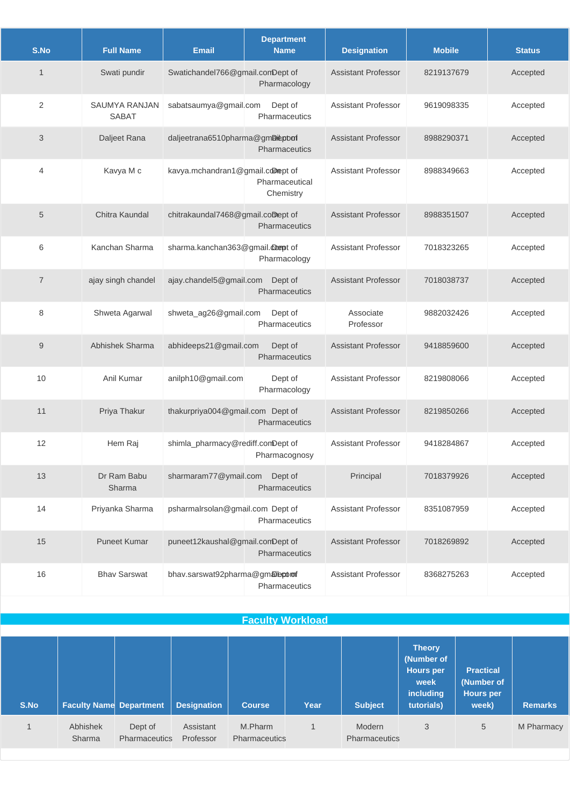| S.No           | <b>Full Name</b>              | <b>Email</b>                      | <b>Department</b><br><b>Name</b> | <b>Designation</b>         | <b>Mobile</b> | <b>Status</b> |
|----------------|-------------------------------|-----------------------------------|----------------------------------|----------------------------|---------------|---------------|
| $\mathbf 1$    | Swati pundir                  | Swatichandel766@gmail.comDept of  | Pharmacology                     | <b>Assistant Professor</b> | 8219137679    | Accepted      |
| 2              | SAUMYA RANJAN<br><b>SABAT</b> | sabatsaumya@gmail.com             | Dept of<br>Pharmaceutics         | <b>Assistant Professor</b> | 9619098335    | Accepted      |
| 3              | Daljeet Rana                  | daljeetrana6510pharma@gmDiepbof   | Pharmaceutics                    | <b>Assistant Professor</b> | 8988290371    | Accepted      |
| 4              | Kavya M c                     | kavya.mchandran1@gmail.comept of  | Pharmaceutical<br>Chemistry      | <b>Assistant Professor</b> | 8988349663    | Accepted      |
| 5              | Chitra Kaundal                | chitrakaundal7468@gmail.comept of | Pharmaceutics                    | <b>Assistant Professor</b> | 8988351507    | Accepted      |
| 6              | Kanchan Sharma                | sharma.kanchan363@gmail.compt of  | Pharmacology                     | <b>Assistant Professor</b> | 7018323265    | Accepted      |
| $\overline{7}$ | ajay singh chandel            | ajay.chandel5@gmail.com           | Dept of<br><b>Pharmaceutics</b>  | <b>Assistant Professor</b> | 7018038737    | Accepted      |
| 8              | Shweta Agarwal                | shweta_ag26@gmail.com             | Dept of<br>Pharmaceutics         | Associate<br>Professor     | 9882032426    | Accepted      |
| $9\,$          | Abhishek Sharma               | abhideeps21@gmail.com             | Dept of<br>Pharmaceutics         | <b>Assistant Professor</b> | 9418859600    | Accepted      |
| 10             | Anil Kumar                    | anilph10@gmail.com                | Dept of<br>Pharmacology          | <b>Assistant Professor</b> | 8219808066    | Accepted      |
| 11             | Priya Thakur                  | thakurpriya004@gmail.com Dept of  | <b>Pharmaceutics</b>             | <b>Assistant Professor</b> | 8219850266    | Accepted      |
| 12             | Hem Raj                       | shimla_pharmacy@rediff.comDept of | Pharmacognosy                    | <b>Assistant Professor</b> | 9418284867    | Accepted      |
| 13             | Dr Ram Babu<br>Sharma         | sharmaram77@ymail.com             | Dept of<br>Pharmaceutics         | Principal                  | 7018379926    | Accepted      |
| 14             | Priyanka Sharma               | psharmalrsolan@gmail.com Dept of  | Pharmaceutics                    | <b>Assistant Professor</b> | 8351087959    | Accepted      |
| 15             | <b>Puneet Kumar</b>           | puneet12kaushal@gmail.comDept of  | <b>Pharmaceutics</b>             | <b>Assistant Professor</b> | 7018269892    | Accepted      |
| 16             | <b>Bhav Sarswat</b>           | bhav.sarswat92pharma@gmaleptom    | Pharmaceutics                    | <b>Assistant Professor</b> | 8368275263    | Accepted      |

## **Faculty Workload**

| S.No | <b>Faculty Name Department</b> |                                 | <b>Designation</b>     | <b>Course</b>                   | Year | <b>Subject</b>          | <b>Theory</b><br>(Number of<br>Hours per<br>week<br>including<br>tutorials) | <b>Practical</b><br>(Number of<br>Hours per<br>week) | <b>Remarks</b> |
|------|--------------------------------|---------------------------------|------------------------|---------------------------------|------|-------------------------|-----------------------------------------------------------------------------|------------------------------------------------------|----------------|
|      | Abhishek<br>Sharma             | Dept of<br><b>Pharmaceutics</b> | Assistant<br>Professor | M.Pharm<br><b>Pharmaceutics</b> |      | Modern<br>Pharmaceutics | 3                                                                           | 5                                                    | M Pharmacy     |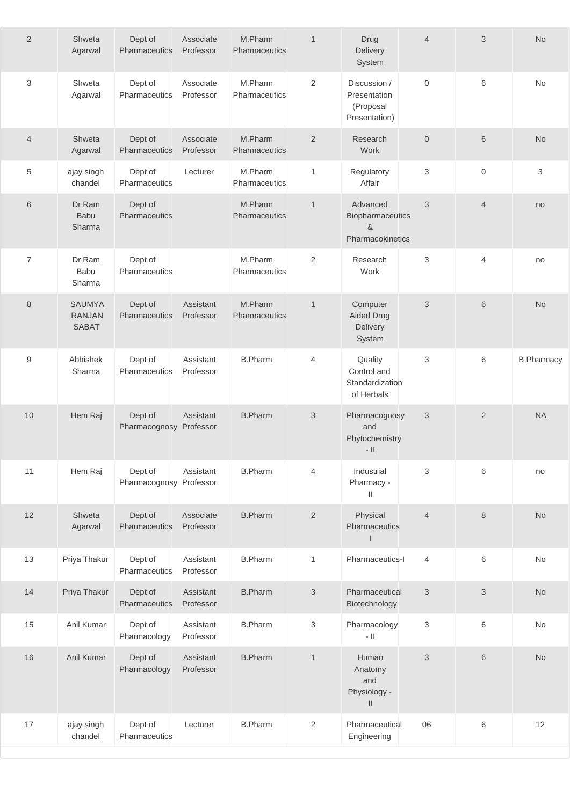| $\overline{2}$   | Shweta<br>Agarwal                              | Dept of<br>Pharmaceutics           | Associate<br>Professor | M.Pharm<br>Pharmaceutics | $\mathbf{1}$              | Drug<br>Delivery<br>System                                 | $\overline{4}$ | 3                | No                |
|------------------|------------------------------------------------|------------------------------------|------------------------|--------------------------|---------------------------|------------------------------------------------------------|----------------|------------------|-------------------|
| 3                | Shweta<br>Agarwal                              | Dept of<br>Pharmaceutics           | Associate<br>Professor | M.Pharm<br>Pharmaceutics | $\overline{2}$            | Discussion /<br>Presentation<br>(Proposal<br>Presentation) | $\mathbf 0$    | 6                | No                |
| $\overline{4}$   | Shweta<br>Agarwal                              | Dept of<br>Pharmaceutics           | Associate<br>Professor | M.Pharm<br>Pharmaceutics | 2                         | Research<br>Work                                           | $\mathbf 0$    | $6\phantom{1}$   | <b>No</b>         |
| 5                | ajay singh<br>chandel                          | Dept of<br>Pharmaceutics           | Lecturer               | M.Pharm<br>Pharmaceutics | $\mathbf{1}$              | Regulatory<br>Affair                                       | 3              | $\boldsymbol{0}$ | $\mathsf 3$       |
| 6                | Dr Ram<br><b>Babu</b><br>Sharma                | Dept of<br>Pharmaceutics           |                        | M.Pharm<br>Pharmaceutics | $\mathbf{1}$              | Advanced<br>Biopharmaceutics<br>&<br>Pharmacokinetics      | 3              | $\overline{4}$   | no                |
| $\overline{7}$   | Dr Ram<br>Babu<br>Sharma                       | Dept of<br>Pharmaceutics           |                        | M.Pharm<br>Pharmaceutics | $\overline{c}$            | Research<br>Work                                           | 3              | $\overline{4}$   | no                |
| 8                | <b>SAUMYA</b><br><b>RANJAN</b><br><b>SABAT</b> | Dept of<br>Pharmaceutics           | Assistant<br>Professor | M.Pharm<br>Pharmaceutics | $\mathbf{1}$              | Computer<br><b>Aided Drug</b><br>Delivery<br>System        | 3              | $6\phantom{1}6$  | <b>No</b>         |
| $\boldsymbol{9}$ | Abhishek<br>Sharma                             | Dept of<br>Pharmaceutics           | Assistant<br>Professor | <b>B.Pharm</b>           | 4                         | Quality<br>Control and<br>Standardization<br>of Herbals    | 3              | 6                | <b>B Pharmacy</b> |
| 10               | Hem Raj                                        | Dept of<br>Pharmacognosy Professor | Assistant              | <b>B.Pharm</b>           | 3                         | Pharmacognosy<br>and<br>Phytochemistry<br>$-$ II           | 3              | 2                | <b>NA</b>         |
| 11               | Hem Raj                                        | Dept of<br>Pharmacognosy Professor | Assistant              | <b>B.Pharm</b>           | $\overline{4}$            | Industrial<br>Pharmacy -<br>$\rm{II}$                      | 3              | 6                | no                |
| 12               | Shweta<br>Agarwal                              | Dept of<br>Pharmaceutics           | Associate<br>Professor | <b>B.Pharm</b>           | $\overline{2}$            | Physical<br>Pharmaceutics<br>$\mathsf{I}$                  | $\overline{4}$ | 8                | <b>No</b>         |
| 13               | Priya Thakur                                   | Dept of<br>Pharmaceutics           | Assistant<br>Professor | <b>B.Pharm</b>           | 1                         | Pharmaceutics-I                                            | 4              | 6                | No                |
| 14               | Priya Thakur                                   | Dept of<br>Pharmaceutics           | Assistant<br>Professor | <b>B.Pharm</b>           | $\sqrt{3}$                | Pharmaceutical<br>Biotechnology                            | $\mathfrak{S}$ | 3                | No                |
| 15               | Anil Kumar                                     | Dept of<br>Pharmacology            | Assistant<br>Professor | <b>B.Pharm</b>           | $\ensuremath{\mathsf{3}}$ | Pharmacology<br>$   $                                      | 3              | $\,6$            | No                |
| 16               | Anil Kumar                                     | Dept of<br>Pharmacology            | Assistant<br>Professor | <b>B.Pharm</b>           | $\mathbf{1}$              | Human<br>Anatomy<br>and<br>Physiology -<br>$\vert\vert$    | 3              | 6                | <b>No</b>         |
| 17               | ajay singh<br>chandel                          | Dept of<br>Pharmaceutics           | Lecturer               | <b>B.Pharm</b>           | $\overline{2}$            | Pharmaceutical<br>Engineering                              | 06             | 6                | 12                |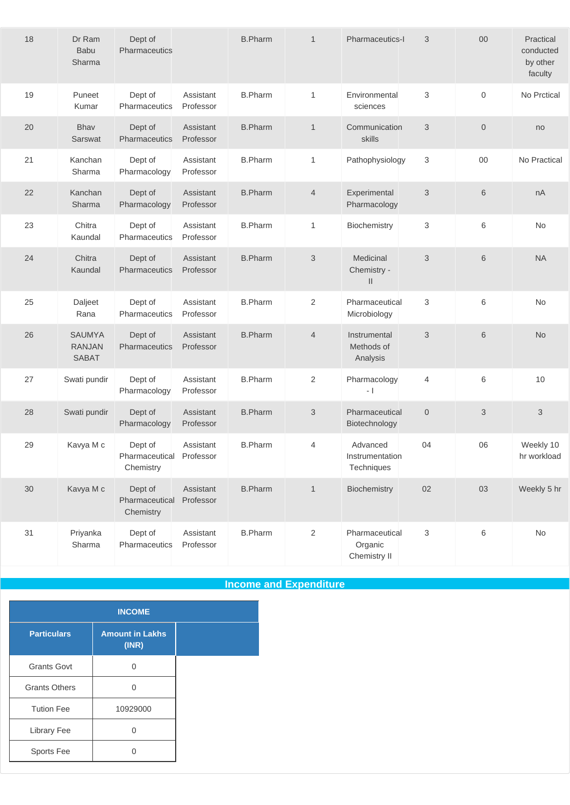| 18 | Dr Ram<br><b>Babu</b><br>Sharma                | Dept of<br>Pharmaceutics               |                        | <b>B.Pharm</b> | $\mathbf{1}$              | Pharmaceutics-I                           | 3              | $00\,$       | Practical<br>conducted<br>by other<br>faculty |
|----|------------------------------------------------|----------------------------------------|------------------------|----------------|---------------------------|-------------------------------------------|----------------|--------------|-----------------------------------------------|
| 19 | Puneet<br>Kumar                                | Dept of<br>Pharmaceutics               | Assistant<br>Professor | <b>B.Pharm</b> | 1                         | Environmental<br>sciences                 | 3              | $\mathbf 0$  | No Prctical                                   |
| 20 | Bhav<br>Sarswat                                | Dept of<br>Pharmaceutics               | Assistant<br>Professor | <b>B.Pharm</b> | $\mathbf{1}$              | Communication<br>skills                   | 3              | $\mathbf{0}$ | no                                            |
| 21 | Kanchan<br>Sharma                              | Dept of<br>Pharmacology                | Assistant<br>Professor | <b>B.Pharm</b> | $\mathbf{1}$              | Pathophysiology                           | 3              | $00\,$       | No Practical                                  |
| 22 | Kanchan<br>Sharma                              | Dept of<br>Pharmacology                | Assistant<br>Professor | <b>B.Pharm</b> | $\overline{4}$            | Experimental<br>Pharmacology              | 3              | 6            | nA                                            |
| 23 | Chitra<br>Kaundal                              | Dept of<br>Pharmaceutics               | Assistant<br>Professor | <b>B.Pharm</b> | 1                         | Biochemistry                              | 3              | 6            | No                                            |
| 24 | Chitra<br>Kaundal                              | Dept of<br>Pharmaceutics               | Assistant<br>Professor | <b>B.Pharm</b> | 3                         | Medicinal<br>Chemistry -<br>$\mathbf{II}$ | 3              | 6            | <b>NA</b>                                     |
| 25 | Daljeet<br>Rana                                | Dept of<br>Pharmaceutics               | Assistant<br>Professor | <b>B.Pharm</b> | 2                         | Pharmaceutical<br>Microbiology            | 3              | 6            | No                                            |
| 26 | <b>SAUMYA</b><br><b>RANJAN</b><br><b>SABAT</b> | Dept of<br>Pharmaceutics               | Assistant<br>Professor | <b>B.Pharm</b> | $\overline{4}$            | Instrumental<br>Methods of<br>Analysis    | 3              | 6            | <b>No</b>                                     |
| 27 | Swati pundir                                   | Dept of<br>Pharmacology                | Assistant<br>Professor | <b>B.Pharm</b> | 2                         | Pharmacology<br>$-1$                      | 4              | 6            | 10                                            |
| 28 | Swati pundir                                   | Dept of<br>Pharmacology                | Assistant<br>Professor | <b>B.Pharm</b> | $\ensuremath{\mathsf{3}}$ | Pharmaceutical<br>Biotechnology           | $\overline{0}$ | 3            | 3                                             |
| 29 | Kavya M c                                      | Dept of<br>Pharmaceutical<br>Chemistry | Assistant<br>Professor | <b>B.Pharm</b> | 4                         | Advanced<br>Instrumentation<br>Techniques | 04             | 06           | Weekly 10<br>hr workload                      |
| 30 | Kavya M c                                      | Dept of<br>Pharmaceutical<br>Chemistry | Assistant<br>Professor | <b>B.Pharm</b> | $\mathbf{1}$              | Biochemistry                              | 02             | 03           | Weekly 5 hr                                   |
| 31 | Priyanka<br>Sharma                             | Dept of<br>Pharmaceutics               | Assistant<br>Professor | <b>B.Pharm</b> | $\overline{2}$            | Pharmaceutical<br>Organic<br>Chemistry II | 3              | $\,6$        | No                                            |

**Income and Expenditure**

| <b>INCOME</b>        |                                 |  |  |  |
|----------------------|---------------------------------|--|--|--|
| <b>Particulars</b>   | <b>Amount in Lakhs</b><br>(INR) |  |  |  |
| <b>Grants Govt</b>   |                                 |  |  |  |
| <b>Grants Others</b> |                                 |  |  |  |
| <b>Tution Fee</b>    | 10929000                        |  |  |  |
| Library Fee          |                                 |  |  |  |
| Sports Fee           |                                 |  |  |  |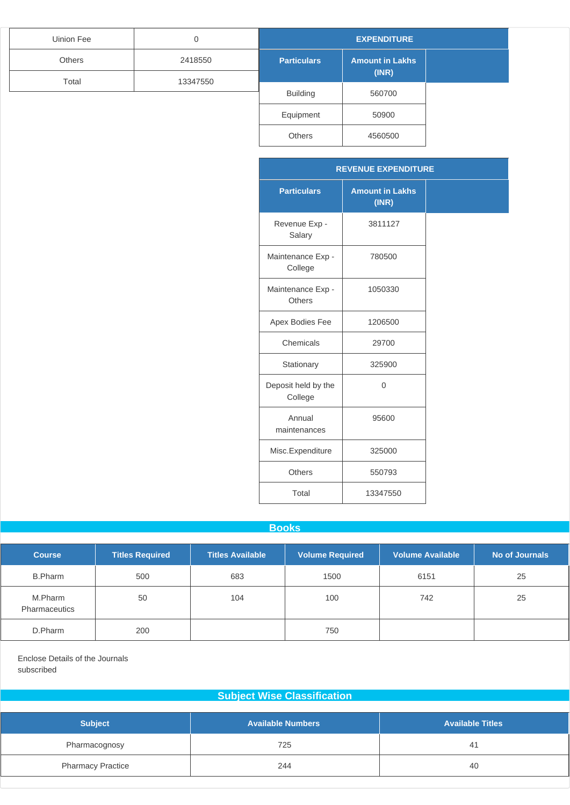| Uinion Fee | 0        | <b>EXPENDITURE</b> |                        |  |
|------------|----------|--------------------|------------------------|--|
| Others     | 2418550  | <b>Particulars</b> | <b>Amount in Lakhs</b> |  |
| Total      | 13347550 |                    | (INR)                  |  |
|            |          | <b>Building</b>    | 560700                 |  |
|            |          | Equipment          | 50900                  |  |
|            |          | <b>Others</b>      | 4560500                |  |

|                                | <b>REVENUE EXPENDITURE</b>      |
|--------------------------------|---------------------------------|
| <b>Particulars</b>             | <b>Amount in Lakhs</b><br>(INR) |
| Revenue Exp -<br>Salary        | 3811127                         |
| Maintenance Exp -<br>College   | 780500                          |
| Maintenance Exp -<br>Others    | 1050330                         |
| Apex Bodies Fee                | 1206500                         |
| Chemicals                      | 29700                           |
| Stationary                     | 325900                          |
| Deposit held by the<br>College | $\Omega$                        |
| Annual<br>maintenances         | 95600                           |
| Misc.Expenditure               | 325000                          |
| <b>Others</b>                  | 550793                          |
| Total                          | 13347550                        |

#### **Books**

| <b>Course</b>            | <b>Titles Required</b> | <b>Titles Available</b> | <b>Volume Required</b> | <b>Volume Available</b> | No of Journals |
|--------------------------|------------------------|-------------------------|------------------------|-------------------------|----------------|
| <b>B.Pharm</b>           | 500                    | 683                     | 1500                   | 6151                    | 25             |
| M.Pharm<br>Pharmaceutics | 50                     | 104                     | 100                    | 742                     | 25             |
| D.Pharm                  | 200                    |                         | 750                    |                         |                |

Enclose Details of the Journals subscribed

### **Subject Wise Classification**

| <b>Subject</b>           | <b>Available Numbers</b> | <b>Available Titles</b> |
|--------------------------|--------------------------|-------------------------|
| Pharmacognosy            | 725                      | -41                     |
| <b>Pharmacy Practice</b> | 244                      | 40                      |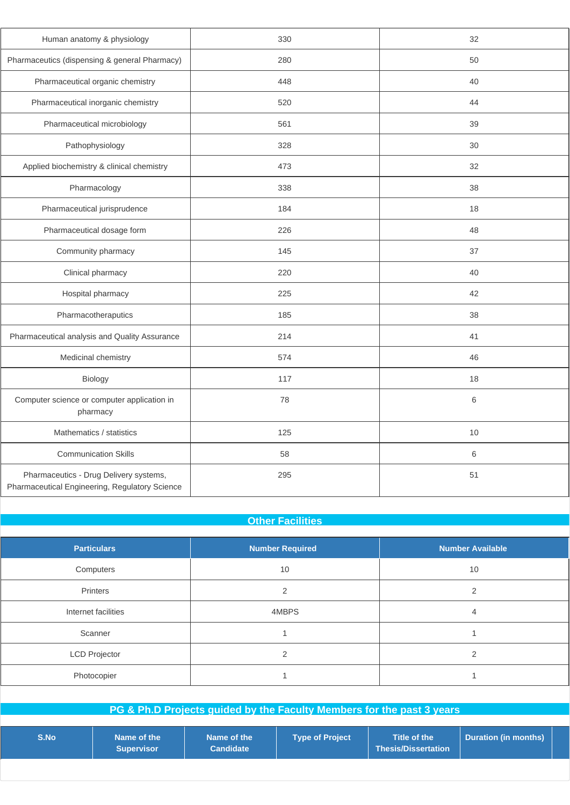| Human anatomy & physiology                                                               | 330 | 32      |
|------------------------------------------------------------------------------------------|-----|---------|
| Pharmaceutics (dispensing & general Pharmacy)                                            | 280 | 50      |
| Pharmaceutical organic chemistry                                                         | 448 | 40      |
| Pharmaceutical inorganic chemistry                                                       | 520 | 44      |
| Pharmaceutical microbiology                                                              | 561 | 39      |
| Pathophysiology                                                                          | 328 | 30      |
| Applied biochemistry & clinical chemistry                                                | 473 | 32      |
| Pharmacology                                                                             | 338 | 38      |
| Pharmaceutical jurisprudence                                                             | 184 | 18      |
| Pharmaceutical dosage form                                                               | 226 | 48      |
| Community pharmacy                                                                       | 145 | 37      |
| Clinical pharmacy                                                                        | 220 | 40      |
| Hospital pharmacy                                                                        | 225 | 42      |
| Pharmacotheraputics                                                                      | 185 | 38      |
| Pharmaceutical analysis and Quality Assurance                                            | 214 | 41      |
| Medicinal chemistry                                                                      | 574 | 46      |
| Biology                                                                                  | 117 | 18      |
| Computer science or computer application in<br>pharmacy                                  | 78  | $\,6$   |
| Mathematics / statistics                                                                 | 125 | 10      |
| <b>Communication Skills</b>                                                              | 58  | $\,6\,$ |
| Pharmaceutics - Drug Delivery systems,<br>Pharmaceutical Engineering, Regulatory Science | 295 | 51      |

## **Other Facilities**

| <b>Particulars</b>   | <b>Number Required</b> | <b>Number Available</b> |
|----------------------|------------------------|-------------------------|
| Computers            | 10                     | 10                      |
| Printers             | ⌒                      | ◠                       |
| Internet facilities  | 4MBPS                  | 4                       |
| Scanner              |                        |                         |
| <b>LCD Projector</b> | ⌒                      |                         |
| Photocopier          |                        |                         |

|      |                                  | PG & Ph.D Projects guided by the Faculty Members for the past 3 years |                        |                                            |                      |  |
|------|----------------------------------|-----------------------------------------------------------------------|------------------------|--------------------------------------------|----------------------|--|
| S.No | Name of the<br><b>Supervisor</b> | Name of the<br><b>Candidate</b>                                       | <b>Type of Project</b> | Title of the<br><b>Thesis/Dissertation</b> | Duration (in months) |  |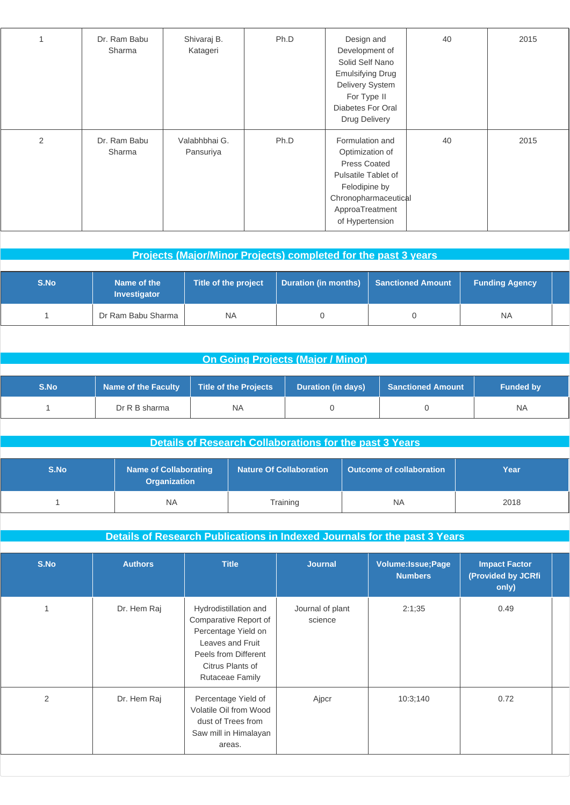| 1 | Dr. Ram Babu<br>Sharma | Shivaraj B.<br>Katageri    | Ph.D | Design and<br>Development of<br>Solid Self Nano<br><b>Emulsifying Drug</b><br>Delivery System<br>For Type II<br>Diabetes For Oral<br>Drug Delivery              | 40 | 2015 |
|---|------------------------|----------------------------|------|-----------------------------------------------------------------------------------------------------------------------------------------------------------------|----|------|
| 2 | Dr. Ram Babu<br>Sharma | Valabhbhai G.<br>Pansuriya | Ph.D | Formulation and<br>Optimization of<br><b>Press Coated</b><br>Pulsatile Tablet of<br>Felodipine by<br>Chronopharmaceutical<br>ApproaTreatment<br>of Hypertension | 40 | 2015 |

|      |                                    |                      | <b>Projects (Major/Minor Projects) completed for the past 3 years</b> |                          |                       |  |
|------|------------------------------------|----------------------|-----------------------------------------------------------------------|--------------------------|-----------------------|--|
|      |                                    |                      |                                                                       |                          |                       |  |
| S.No | Name of the<br><b>Investigator</b> | Title of the project | <b>Duration (in months)</b>                                           | <b>Sanctioned Amount</b> | <b>Funding Agency</b> |  |
|      | Dr Ram Babu Sharma                 | <b>NA</b>            |                                                                       |                          | <b>NA</b>             |  |

## **On Going Projects (Major / Minor)**

| S.No. | <b>Name of the Faculty</b> | Title of the Projects | <b>Duration (in days)</b> | <b>Sanctioned Amount</b> | <b>Funded by</b> |
|-------|----------------------------|-----------------------|---------------------------|--------------------------|------------------|
|       | Dr R B sharma              | <b>NA</b>             |                           |                          | <b>NA</b>        |

| Details of Research Collaborations for the past 3 Years |
|---------------------------------------------------------|
|---------------------------------------------------------|

| S.No | <b>Name of Collaborating</b><br><b>Organization</b> | <b>Nature Of Collaboration</b> | Outcome of collaboration | Year |
|------|-----------------------------------------------------|--------------------------------|--------------------------|------|
|      | <b>NA</b>                                           | Training                       | NA                       | 2018 |

## **Details of Research Publications in Indexed Journals for the past 3 Years**

| S.No           | <b>Authors</b> | <b>Title</b>                                                                                                                                                    | <b>Journal</b>              | <b>Volume:Issue;Page</b><br><b>Numbers</b> | <b>Impact Factor</b><br>(Provided by JCRfi<br>only) |  |
|----------------|----------------|-----------------------------------------------------------------------------------------------------------------------------------------------------------------|-----------------------------|--------------------------------------------|-----------------------------------------------------|--|
|                | Dr. Hem Raj    | Hydrodistillation and<br>Comparative Report of<br>Percentage Yield on<br>Leaves and Fruit<br>Peels from Different<br>Citrus Plants of<br><b>Rutaceae Family</b> | Journal of plant<br>science | 2:1;35                                     | 0.49                                                |  |
| $\overline{2}$ | Dr. Hem Raj    | Percentage Yield of<br>Volatile Oil from Wood<br>dust of Trees from<br>Saw mill in Himalayan<br>areas.                                                          | Ajpcr                       | 10:3;140                                   | 0.72                                                |  |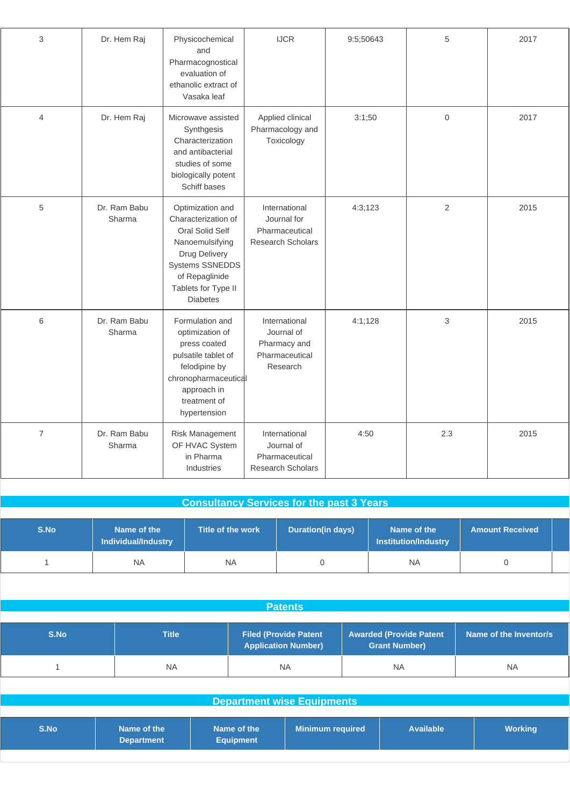| 3              | Dr. Hem Raj            | Physicochemical<br>and<br>Pharmacognostical<br>evaluation of<br>ethanolic extract of<br>Vasaka leaf                                                                           | IJCR                                                                       | 9:5;50643 | 5                   | 2017 |
|----------------|------------------------|-------------------------------------------------------------------------------------------------------------------------------------------------------------------------------|----------------------------------------------------------------------------|-----------|---------------------|------|
| $\overline{4}$ | Dr. Hem Raj            | Microwave assisted<br>Synthgesis<br>Characterization<br>and antibacterial<br>studies of some<br>biologically potent<br>Schiff bases                                           | Applied clinical<br>Pharmacology and<br>Toxicology                         | 3:1;50    | $\mathsf{O}\xspace$ | 2017 |
| 5              | Dr. Ram Babu<br>Sharma | Optimization and<br>Characterization of<br>Oral Solid Self<br>Nanoemulsifying<br>Drug Delivery<br>Systems SSNEDDS<br>of Repaglinide<br>Tablets for Type II<br><b>Diabetes</b> | International<br>Journal for<br>Pharmaceutical<br><b>Research Scholars</b> | 4:3;123   | $\overline{2}$      | 2015 |
| 6              | Dr. Ram Babu<br>Sharma | Formulation and<br>optimization of<br>press coated<br>pulsatile tablet of<br>felodipine by<br>chronopharmaceutical<br>approach in<br>treatment of<br>hypertension             | International<br>Journal of<br>Pharmacy and<br>Pharmaceutical<br>Research  | 4:1;128   | 3                   | 2015 |
| $\overline{7}$ | Dr. Ram Babu<br>Sharma | Risk Management<br>OF HVAC System<br>in Pharma<br>Industries                                                                                                                  | International<br>Journal of<br>Pharmaceutical<br><b>Research Scholars</b>  | 4:50      | 2.3                 | 2015 |

# **Consultancy Services for the past 3 Years**

| S.No | Name of the<br>Individual/Industry | Title of the work | Duration(in days) | Name of the<br><b>Institution/Industry</b> | <b>Amount Received</b> |  |
|------|------------------------------------|-------------------|-------------------|--------------------------------------------|------------------------|--|
|      | <b>NA</b>                          | <b>NA</b>         |                   | <b>NA</b>                                  |                        |  |

| . . |      |  |
|-----|------|--|
|     | aten |  |
|     |      |  |

| S.No | Title | <b>Filed (Provide Patent \</b><br><b>Application Number)</b> | <b>Awarded (Provide Patent</b><br><b>Grant Number)</b> | Name of the Inventor/s |  |
|------|-------|--------------------------------------------------------------|--------------------------------------------------------|------------------------|--|
|      | NA    | ΝA                                                           | <b>NA</b>                                              | <b>NA</b>              |  |

| <b>Department wise Equipments</b> |                                  |                                 |                         |                  |                |  |  |
|-----------------------------------|----------------------------------|---------------------------------|-------------------------|------------------|----------------|--|--|
|                                   |                                  |                                 |                         |                  |                |  |  |
| S.No                              | Name of the<br><b>Department</b> | Name of the<br><b>Equipment</b> | <b>Minimum required</b> | <b>Available</b> | <b>Working</b> |  |  |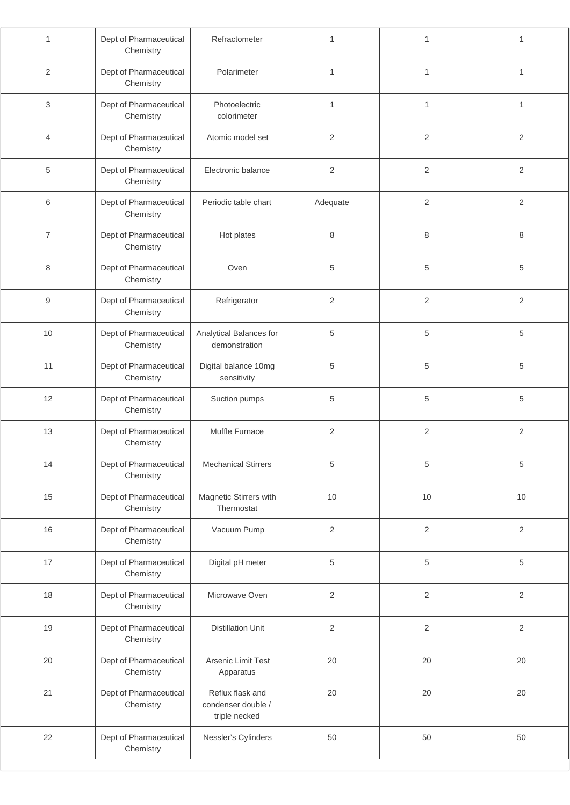| 1              | Dept of Pharmaceutical<br>Chemistry | Refractometer                                           | $\mathbf{1}$   | $\mathbf{1}$   | 1              |
|----------------|-------------------------------------|---------------------------------------------------------|----------------|----------------|----------------|
| 2              | Dept of Pharmaceutical<br>Chemistry | Polarimeter                                             | $\mathbf{1}$   | $\mathbf{1}$   | 1              |
| 3              | Dept of Pharmaceutical<br>Chemistry | Photoelectric<br>colorimeter                            | $\mathbf{1}$   | 1              | 1              |
| $\overline{4}$ | Dept of Pharmaceutical<br>Chemistry | Atomic model set                                        | 2              | $\overline{2}$ | 2              |
| 5              | Dept of Pharmaceutical<br>Chemistry | Electronic balance                                      | $\overline{2}$ | $\overline{2}$ | $\overline{2}$ |
| 6              | Dept of Pharmaceutical<br>Chemistry | Periodic table chart                                    | Adequate       | $\overline{2}$ | $\overline{2}$ |
| $\overline{7}$ | Dept of Pharmaceutical<br>Chemistry | Hot plates                                              | 8              | 8              | 8              |
| 8              | Dept of Pharmaceutical<br>Chemistry | Oven                                                    | 5              | 5              | 5              |
| 9              | Dept of Pharmaceutical<br>Chemistry | Refrigerator                                            | 2              | $\overline{2}$ | $\overline{2}$ |
| 10             | Dept of Pharmaceutical<br>Chemistry | Analytical Balances for<br>demonstration                | 5              | 5              | 5              |
| 11             | Dept of Pharmaceutical<br>Chemistry | Digital balance 10mg<br>sensitivity                     | 5              | 5              | 5              |
| 12             | Dept of Pharmaceutical<br>Chemistry | Suction pumps                                           | 5              | 5              | 5              |
| 13             | Dept of Pharmaceutical<br>Chemistry | Muffle Furnace                                          | $\overline{2}$ | $\overline{2}$ | $\overline{2}$ |
| 14             | Dept of Pharmaceutical<br>Chemistry | <b>Mechanical Stirrers</b>                              | 5              | 5              | 5              |
| 15             | Dept of Pharmaceutical<br>Chemistry | Magnetic Stirrers with<br>Thermostat                    | $10$           | $10$           | 10             |
| 16             | Dept of Pharmaceutical<br>Chemistry | Vacuum Pump                                             | $\sqrt{2}$     | $\sqrt{2}$     | $\sqrt{2}$     |
| $17$           | Dept of Pharmaceutical<br>Chemistry | Digital pH meter                                        | 5              | 5              | 5              |
| 18             | Dept of Pharmaceutical<br>Chemistry | Microwave Oven                                          | $\overline{2}$ | $\overline{c}$ | $\sqrt{2}$     |
| 19             | Dept of Pharmaceutical<br>Chemistry | <b>Distillation Unit</b>                                | $\overline{2}$ | $\overline{2}$ | $\overline{2}$ |
| 20             | Dept of Pharmaceutical<br>Chemistry | Arsenic Limit Test<br>Apparatus                         | 20             | 20             | 20             |
| 21             | Dept of Pharmaceutical<br>Chemistry | Reflux flask and<br>condenser double /<br>triple necked | 20             | 20             | 20             |
| 22             | Dept of Pharmaceutical<br>Chemistry | Nessler's Cylinders                                     | 50             | 50             | 50             |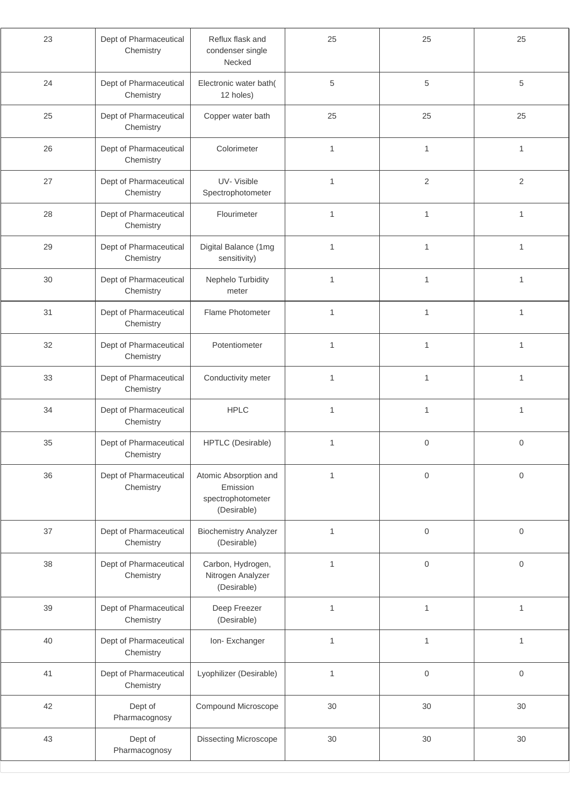| 23 | Dept of Pharmaceutical<br>Reflux flask and<br>Chemistry<br>condenser single<br>Necked |                                                                       | 25           | 25                  | 25                  |
|----|---------------------------------------------------------------------------------------|-----------------------------------------------------------------------|--------------|---------------------|---------------------|
| 24 | Dept of Pharmaceutical<br>Chemistry                                                   | Electronic water bath(<br>12 holes)                                   | $\,$ 5 $\,$  | 5                   | $\,$ 5 $\,$         |
| 25 | Dept of Pharmaceutical<br>Chemistry                                                   | Copper water bath                                                     | 25           | 25                  | 25                  |
| 26 | Dept of Pharmaceutical<br>Chemistry                                                   | Colorimeter                                                           | $\mathbf{1}$ | 1                   | 1                   |
| 27 | Dept of Pharmaceutical<br>Chemistry                                                   | UV-Visible<br>Spectrophotometer                                       | $\mathbf{1}$ | $\overline{2}$      | $\overline{2}$      |
| 28 | Dept of Pharmaceutical<br>Chemistry                                                   | Flourimeter                                                           | $\mathbf{1}$ | 1                   | $\mathbf{1}$        |
| 29 | Dept of Pharmaceutical<br>Chemistry                                                   | Digital Balance (1mg<br>sensitivity)                                  | $\mathbf{1}$ | 1                   | 1                   |
| 30 | Dept of Pharmaceutical<br>Chemistry                                                   | Nephelo Turbidity<br>meter                                            | $\mathbf{1}$ | $\mathbf{1}$        | $\mathbf{1}$        |
| 31 | Dept of Pharmaceutical<br>Chemistry                                                   | Flame Photometer                                                      | $\mathbf{1}$ | $\mathbf{1}$        | $\mathbf{1}$        |
| 32 | Dept of Pharmaceutical<br>Chemistry                                                   | Potentiometer                                                         | $\mathbf{1}$ | $\mathbf{1}$        | 1                   |
| 33 | Dept of Pharmaceutical<br>Chemistry                                                   | Conductivity meter                                                    | $\mathbf{1}$ | 1                   | 1                   |
| 34 | Dept of Pharmaceutical<br>Chemistry                                                   | <b>HPLC</b>                                                           | $\mathbf{1}$ | 1                   | 1                   |
| 35 | Dept of Pharmaceutical<br>Chemistry                                                   | HPTLC (Desirable)                                                     | $\mathbf{1}$ | $\mathbf 0$         | $\mathbf{0}$        |
| 36 | Dept of Pharmaceutical<br>Chemistry                                                   | Atomic Absorption and<br>Emission<br>spectrophotometer<br>(Desirable) | 1            | $\mathbf 0$         | $\mathbf 0$         |
| 37 | Dept of Pharmaceutical<br>Chemistry                                                   | <b>Biochemistry Analyzer</b><br>(Desirable)                           | $\mathbf{1}$ | $\mathsf{O}\xspace$ | $\mathbf 0$         |
| 38 | Dept of Pharmaceutical<br>Chemistry                                                   | Carbon, Hydrogen,<br>Nitrogen Analyzer<br>(Desirable)                 | $\mathbf{1}$ | $\,0\,$             | $\mathbf 0$         |
| 39 | Dept of Pharmaceutical<br>Chemistry                                                   | Deep Freezer<br>(Desirable)                                           | $\mathbf{1}$ | 1                   | $\mathbf{1}$        |
| 40 | Dept of Pharmaceutical<br>Chemistry                                                   | Ion-Exchanger                                                         | $\mathbf{1}$ | $\mathbf{1}$        | $\mathbf{1}$        |
| 41 | Dept of Pharmaceutical<br>Chemistry                                                   | Lyophilizer (Desirable)                                               | $\mathbf{1}$ | $\mathsf{O}\xspace$ | $\mathsf{O}\xspace$ |
| 42 | Dept of<br>Pharmacognosy                                                              | Compound Microscope                                                   | $30\,$       | $30\,$              | $30\,$              |
| 43 | Dept of<br>Pharmacognosy                                                              | Dissecting Microscope                                                 | $30\,$       | $30\,$              | $30\,$              |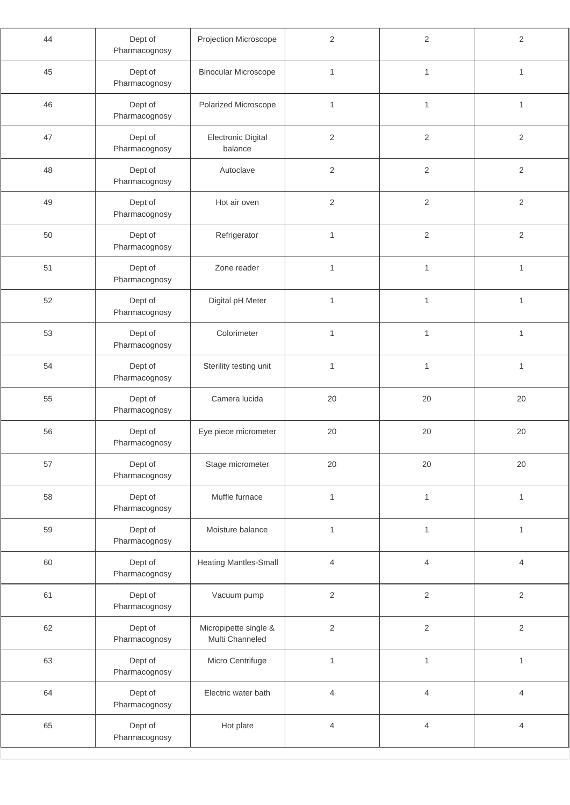| 44 | Dept of<br>Pharmacognosy | Projection Microscope                    | $\overline{2}$ | $\overline{2}$ | 2              |
|----|--------------------------|------------------------------------------|----------------|----------------|----------------|
| 45 | Dept of<br>Pharmacognosy | <b>Binocular Microscope</b>              | $\mathbf{1}$   | $\mathbf{1}$   | $\mathbf{1}$   |
| 46 | Dept of<br>Pharmacognosy | Polarized Microscope                     | $\mathbf{1}$   | $\mathbf{1}$   | 1              |
| 47 | Dept of<br>Pharmacognosy | Electronic Digital<br>balance            | $\sqrt{2}$     | $\overline{2}$ | $\sqrt{2}$     |
| 48 | Dept of<br>Pharmacognosy | Autoclave                                | $\overline{2}$ | $\overline{2}$ | $\overline{2}$ |
| 49 | Dept of<br>Pharmacognosy | Hot air oven                             | $\overline{2}$ | $\overline{2}$ | 2              |
| 50 | Dept of<br>Pharmacognosy | Refrigerator                             | $\mathbf{1}$   | 2              | $\sqrt{2}$     |
| 51 | Dept of<br>Pharmacognosy | Zone reader                              | $\mathbf{1}$   | $\mathbf{1}$   | $\mathbf{1}$   |
| 52 | Dept of<br>Pharmacognosy | Digital pH Meter                         | $\mathbf{1}$   | $\mathbf{1}$   | $\mathbf{1}$   |
| 53 | Dept of<br>Pharmacognosy | Colorimeter                              | $\mathbf{1}$   | $\mathbf{1}$   | 1              |
| 54 | Dept of<br>Pharmacognosy | Sterility testing unit                   | $\mathbf{1}$   | $\mathbf{1}$   | $\mathbf{1}$   |
| 55 | Dept of<br>Pharmacognosy | Camera lucida                            | 20             | 20             | 20             |
| 56 | Dept of<br>Pharmacognosy | Eye piece micrometer                     | 20             | 20             | 20             |
| 57 | Dept of<br>Pharmacognosy | Stage micrometer                         | 20             | 20             | 20             |
| 58 | Dept of<br>Pharmacognosy | Muffle furnace                           | $\mathbf{1}$   | $\mathbf{1}$   | $\mathbf{1}$   |
| 59 | Dept of<br>Pharmacognosy | Moisture balance                         | $\mathbf{1}$   | $\mathbf{1}$   | $\mathbf{1}$   |
| 60 | Dept of<br>Pharmacognosy | <b>Heating Mantles-Small</b>             | $\overline{4}$ | $\overline{4}$ | $\overline{4}$ |
| 61 | Dept of<br>Pharmacognosy | Vacuum pump                              | $\sqrt{2}$     | $\sqrt{2}$     | $\sqrt{2}$     |
| 62 | Dept of<br>Pharmacognosy | Micropipette single &<br>Multi Channeled | $\overline{2}$ | $\overline{2}$ | $\sqrt{2}$     |
| 63 | Dept of<br>Pharmacognosy | Micro Centrifuge                         | $\mathbf{1}$   | $\mathbf{1}$   | $\mathbf{1}$   |
| 64 | Dept of<br>Pharmacognosy | Electric water bath                      | $\overline{4}$ | $\overline{4}$ | 4              |
| 65 | Dept of<br>Pharmacognosy | Hot plate                                | $\overline{4}$ | $\overline{4}$ | $\overline{4}$ |
|    |                          |                                          |                |                |                |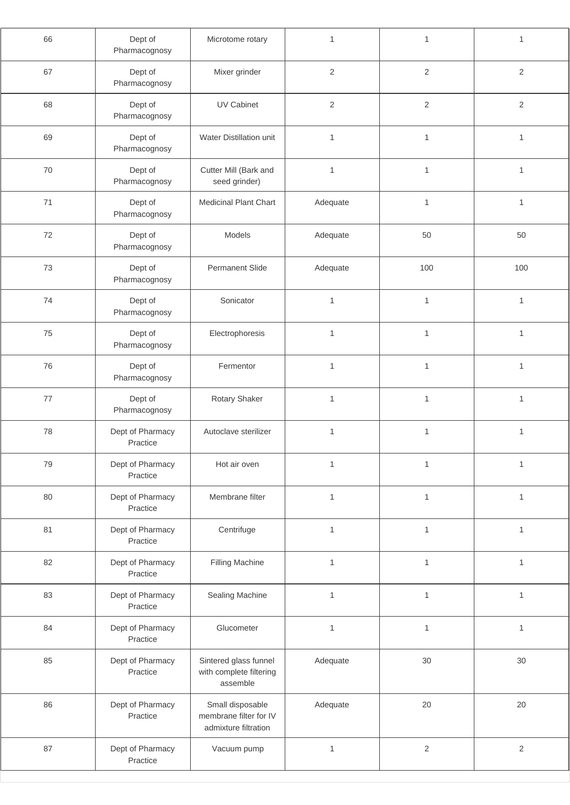| 66 | Dept of<br>Pharmacognosy     | Microtome rotary                                                   | $\mathbf{1}$   | $\mathbf{1}$ | 1              |
|----|------------------------------|--------------------------------------------------------------------|----------------|--------------|----------------|
| 67 | Dept of<br>Pharmacognosy     | Mixer grinder                                                      | $\overline{2}$ | $\sqrt{2}$   | $\sqrt{2}$     |
| 68 | Dept of<br>Pharmacognosy     | UV Cabinet                                                         | $\overline{2}$ | 2            | $\overline{2}$ |
| 69 | Dept of<br>Pharmacognosy     | Water Distillation unit                                            | $\mathbf{1}$   | $\mathbf{1}$ | $\mathbf{1}$   |
| 70 | Dept of<br>Pharmacognosy     | Cutter Mill (Bark and<br>seed grinder)                             | $\mathbf{1}$   | $\mathbf{1}$ | 1              |
| 71 | Dept of<br>Pharmacognosy     | Medicinal Plant Chart                                              | Adequate       | $\mathbf{1}$ | 1              |
| 72 | Dept of<br>Pharmacognosy     | Models                                                             | Adequate       | 50           | 50             |
| 73 | Dept of<br>Pharmacognosy     | <b>Permanent Slide</b>                                             | Adequate       | 100          | 100            |
| 74 | Dept of<br>Pharmacognosy     | Sonicator                                                          | $\mathbf{1}$   | $\mathbf{1}$ | $\mathbf{1}$   |
| 75 | Dept of<br>Pharmacognosy     | Electrophoresis                                                    | $\mathbf{1}$   | $\mathbf{1}$ | $\mathbf{1}$   |
| 76 | Dept of<br>Pharmacognosy     | Fermentor                                                          | $\mathbf{1}$   | $\mathbf{1}$ | $\mathbf{1}$   |
| 77 | Dept of<br>Pharmacognosy     | Rotary Shaker                                                      | $\mathbf{1}$   | $\mathbf{1}$ | 1              |
| 78 | Dept of Pharmacy<br>Practice | Autoclave sterilizer                                               | $\mathbf{1}$   | $\mathbf{1}$ | $\mathbf{1}$   |
| 79 | Dept of Pharmacy<br>Practice | Hot air oven                                                       | $\mathbf{1}$   | $\mathbf{1}$ | 1              |
| 80 | Dept of Pharmacy<br>Practice | Membrane filter                                                    | $\mathbf{1}$   | $\mathbf{1}$ | $\mathbf{1}$   |
| 81 | Dept of Pharmacy<br>Practice | Centrifuge                                                         | $\mathbf{1}$   | $\mathbf{1}$ | $\mathbf{1}$   |
| 82 | Dept of Pharmacy<br>Practice | Filling Machine                                                    | $\mathbf{1}$   | $\mathbf{1}$ | $\mathbf{1}$   |
| 83 | Dept of Pharmacy<br>Practice | Sealing Machine                                                    | $\mathbf{1}$   | $\mathbf{1}$ | $\mathbf{1}$   |
| 84 | Dept of Pharmacy<br>Practice | Glucometer                                                         | $\mathbf{1}$   | $\mathbf{1}$ | $\mathbf{1}$   |
| 85 | Dept of Pharmacy<br>Practice | Sintered glass funnel<br>with complete filtering<br>assemble       | Adequate       | $30\,$       | $30\,$         |
| 86 | Dept of Pharmacy<br>Practice | Small disposable<br>membrane filter for IV<br>admixture filtration | Adequate       | 20           | 20             |
| 87 | Dept of Pharmacy<br>Practice | Vacuum pump                                                        | $\mathbf{1}$   | $\sqrt{2}$   | $\sqrt{2}$     |
|    |                              |                                                                    |                |              |                |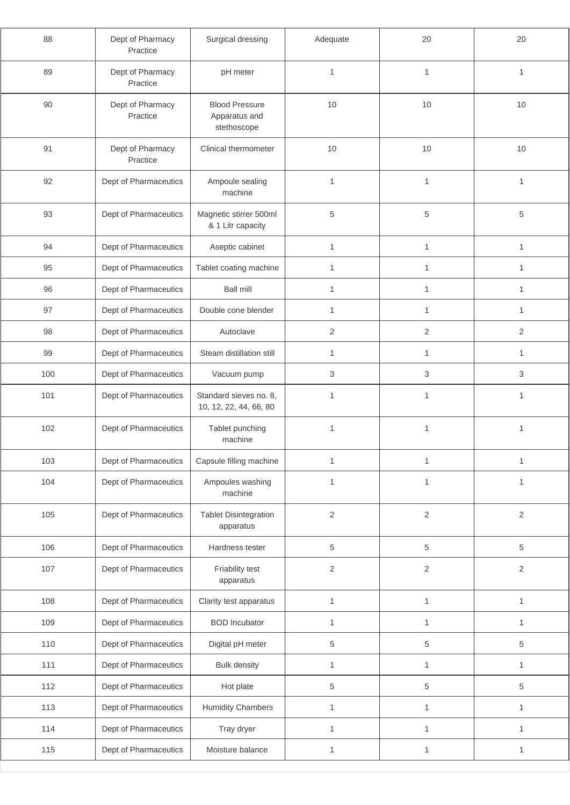| 88  | Dept of Pharmacy<br>Practice | Surgical dressing                                     | Adequate       | 20             | 20             |
|-----|------------------------------|-------------------------------------------------------|----------------|----------------|----------------|
| 89  | Dept of Pharmacy<br>Practice | pH meter                                              | 1              | $\mathbf{1}$   | $\mathbf{1}$   |
| 90  | Dept of Pharmacy<br>Practice | <b>Blood Pressure</b><br>Apparatus and<br>stethoscope | 10             | 10             | 10             |
| 91  | Dept of Pharmacy<br>Practice | Clinical thermometer                                  | 10             | 10             | 10             |
| 92  | Dept of Pharmaceutics        | Ampoule sealing<br>machine                            | $\mathbf{1}$   | 1              | $\mathbf{1}$   |
| 93  | Dept of Pharmaceutics        | Magnetic stirrer 500ml<br>& 1 Litr capacity           | 5              | 5              | 5              |
| 94  | Dept of Pharmaceutics        | Aseptic cabinet                                       | $\mathbf{1}$   | $\mathbf{1}$   | $\mathbf{1}$   |
| 95  | Dept of Pharmaceutics        | Tablet coating machine                                | $\mathbf{1}$   | $\mathbf{1}$   | $\mathbf{1}$   |
| 96  | Dept of Pharmaceutics        | <b>Ball mill</b>                                      | 1              | 1              | 1              |
| 97  | Dept of Pharmaceutics        | Double cone blender                                   | 1              | 1              | 1              |
| 98  | Dept of Pharmaceutics        | Autoclave                                             | $\overline{2}$ | $\overline{2}$ | $\overline{2}$ |
| 99  | Dept of Pharmaceutics        | Steam distillation still                              | $\mathbf{1}$   | $\mathbf{1}$   | $\mathbf{1}$   |
| 100 | Dept of Pharmaceutics        | Vacuum pump                                           | 3              | 3              | 3              |
| 101 | Dept of Pharmaceutics        | Standard sieves no. 8,<br>10, 12, 22, 44, 66, 80      | 1              | 1              | 1              |
| 102 | Dept of Pharmaceutics        | Tablet punching<br>machine                            | $\mathbf{1}$   | 1              | $\mathbf{1}$   |
| 103 | Dept of Pharmaceutics        | Capsule filling machine                               | $\mathbf{1}$   | 1              | $\mathbf{1}$   |
| 104 | Dept of Pharmaceutics        | Ampoules washing<br>machine                           | 1              | 1              | 1              |
| 105 | Dept of Pharmaceutics        | <b>Tablet Disintegration</b><br>apparatus             | $\sqrt{2}$     | $\sqrt{2}$     | $\sqrt{2}$     |
| 106 | Dept of Pharmaceutics        | Hardness tester                                       | $\,$ 5 $\,$    | 5              | 5              |
| 107 | Dept of Pharmaceutics        | Friability test<br>apparatus                          | 2              | 2              | 2              |
| 108 | Dept of Pharmaceutics        | Clarity test apparatus                                | 1              | $\mathbf{1}$   | $\mathbf{1}$   |
| 109 | Dept of Pharmaceutics        | <b>BOD</b> Incubator                                  | 1              | $\mathbf{1}$   | $\mathbf{1}$   |
| 110 | Dept of Pharmaceutics        | Digital pH meter                                      | 5              | 5              | 5              |
| 111 | Dept of Pharmaceutics        | <b>Bulk density</b>                                   | 1              | 1              | $\mathbf{1}$   |
| 112 | Dept of Pharmaceutics        | Hot plate                                             | $\,$ 5 $\,$    | 5              | 5              |
| 113 | Dept of Pharmaceutics        | <b>Humidity Chambers</b>                              | 1              | $\mathbf{1}$   | $\mathbf{1}$   |
| 114 | Dept of Pharmaceutics        | Tray dryer                                            | 1              | 1              | 1              |
| 115 | Dept of Pharmaceutics        | Moisture balance                                      | $\mathbf{1}$   | 1              | $\mathbf{1}$   |
|     |                              |                                                       |                |                |                |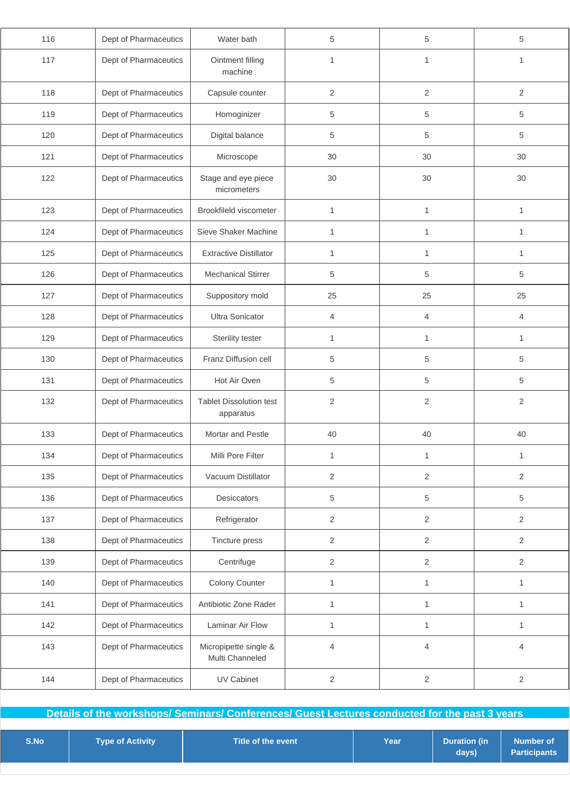| 116 | Dept of Pharmaceutics | Water bath                                  | 5              | 5              | 5              |
|-----|-----------------------|---------------------------------------------|----------------|----------------|----------------|
| 117 | Dept of Pharmaceutics | Ointment filling<br>machine                 | 1              | 1              | 1              |
| 118 | Dept of Pharmaceutics | Capsule counter                             | 2              | $\overline{2}$ | 2              |
| 119 | Dept of Pharmaceutics | Homoginizer                                 | 5              | 5              | 5              |
| 120 | Dept of Pharmaceutics | Digital balance                             | 5              | 5              | 5              |
| 121 | Dept of Pharmaceutics | Microscope                                  | 30             | 30             | 30             |
| 122 | Dept of Pharmaceutics | Stage and eye piece<br>micrometers          | 30             | 30             | $30\,$         |
| 123 | Dept of Pharmaceutics | Brookfileld viscometer                      | $\mathbf{1}$   | $\mathbf{1}$   | $\mathbf{1}$   |
| 124 | Dept of Pharmaceutics | Sieve Shaker Machine                        | 1              | $\mathbf{1}$   | $\mathbf{1}$   |
| 125 | Dept of Pharmaceutics | <b>Extractive Distillator</b>               | $\mathbf{1}$   | 1              | $\mathbf{1}$   |
| 126 | Dept of Pharmaceutics | <b>Mechanical Stirrer</b>                   | 5              | 5              | 5              |
| 127 | Dept of Pharmaceutics | Suppository mold                            | 25             | 25             | 25             |
| 128 | Dept of Pharmaceutics | <b>Ultra Sonicator</b>                      | 4              | $\overline{4}$ | $\overline{4}$ |
| 129 | Dept of Pharmaceutics | Sterility tester                            | 1              | $\mathbf{1}$   | $\mathbf{1}$   |
| 130 | Dept of Pharmaceutics | Franz Diffusion cell                        | $\,$ 5 $\,$    | $\,$ 5 $\,$    | 5              |
| 131 | Dept of Pharmaceutics | Hot Air Oven                                | 5              | $\,$ 5 $\,$    | 5              |
| 132 | Dept of Pharmaceutics | <b>Tablet Dissolution test</b><br>apparatus | 2              | $\overline{2}$ | 2              |
| 133 | Dept of Pharmaceutics | Mortar and Pestle                           | 40             | 40             | 40             |
| 134 | Dept of Pharmaceutics | Milli Pore Filter                           | $\mathbf{1}$   | 1              | $\mathbf{1}$   |
| 135 | Dept of Pharmaceutics | Vacuum Distillator                          | $\overline{2}$ | $\overline{2}$ | 2              |
| 136 | Dept of Pharmaceutics | Desiccators                                 | $\,$ 5 $\,$    | 5              | $\,$ 5 $\,$    |
| 137 | Dept of Pharmaceutics | Refrigerator                                | $\overline{c}$ | $\overline{2}$ | $\overline{2}$ |
| 138 | Dept of Pharmaceutics | Tincture press                              | $\overline{2}$ | $\overline{2}$ | $\mathbf{2}$   |
| 139 | Dept of Pharmaceutics | Centrifuge                                  | $\overline{c}$ | $\overline{2}$ | $\sqrt{2}$     |
| 140 | Dept of Pharmaceutics | Colony Counter                              | $\mathbf{1}$   | $\mathbf{1}$   | $\mathbf{1}$   |
| 141 | Dept of Pharmaceutics | Antibiotic Zone Rader                       | $\mathbf{1}$   | $\mathbf{1}$   | $\mathbf{1}$   |
| 142 | Dept of Pharmaceutics | Laminar Air Flow                            | 1              | $\mathbf{1}$   | $\mathbf{1}$   |
| 143 | Dept of Pharmaceutics | Micropipette single &<br>Multi Channeled    | 4              | $\overline{4}$ | $\overline{4}$ |
| 144 | Dept of Pharmaceutics | UV Cabinet                                  | $\sqrt{2}$     | $\overline{2}$ | $\sqrt{2}$     |
|     |                       |                                             |                |                |                |

**Details of the workshops/ Seminars/ Conferences/ Guest Lectures conducted for the past 3 years**

|--|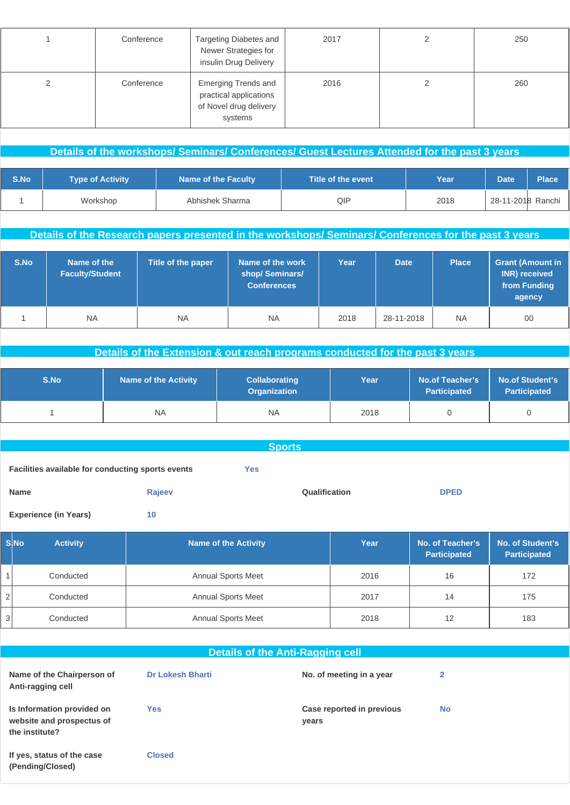| Conference | Targeting Diabetes and<br>Newer Strategies for<br>insulin Drug Delivery                   | 2017 | $\mathcal{D}$ | 250 |
|------------|-------------------------------------------------------------------------------------------|------|---------------|-----|
| Conference | <b>Emerging Trends and</b><br>practical applications<br>of Novel drug delivery<br>systems | 2016 |               | 260 |

|      | Details of the workshops/ Seminars/ Conferences/ Guest Lectures Attended for the past 3 years |                            |                             |      |             |                   |  |  |  |
|------|-----------------------------------------------------------------------------------------------|----------------------------|-----------------------------|------|-------------|-------------------|--|--|--|
|      |                                                                                               |                            |                             |      |             |                   |  |  |  |
| S.No | <b>Type of Activity</b>                                                                       | <b>Name of the Faculty</b> | Title of the event <b>i</b> | Year | <b>Date</b> | <b>Place</b>      |  |  |  |
|      | Workshop                                                                                      | Abhishek Sharma            | QIP                         | 2018 |             | 28-11-2018 Ranchi |  |  |  |

**Details of the Research papers presented in the workshops/ Seminars/ Conferences for the past 3 years**

| S.No | Name of the<br><b>Faculty/Student</b> | Title of the paper | Name of the work<br>shop/Seminars/<br><b>Conferences</b> | Year | <b>Date</b> | <b>Place</b> | <b>Grant (Amount in</b><br>INR) received<br>from Funding<br>agency |
|------|---------------------------------------|--------------------|----------------------------------------------------------|------|-------------|--------------|--------------------------------------------------------------------|
|      | <b>NA</b>                             | <b>NA</b>          | <b>NA</b>                                                | 2018 | 28-11-2018  | <b>NA</b>    | $00\,$                                                             |

**Details of the Extension & out reach programs conducted for the past 3 years**

| S.No | <b>Name of the Activity</b> | <b>Collaborating</b><br><b>Organization</b> | Year | No.of Teacher's<br><b>Participated</b> | <b>No.of Student's</b><br><b>Participated</b> |
|------|-----------------------------|---------------------------------------------|------|----------------------------------------|-----------------------------------------------|
|      | <b>NA</b>                   | <b>NA</b>                                   | 2018 |                                        |                                               |

| <b>Sports</b>                                     |        |     |               |             |
|---------------------------------------------------|--------|-----|---------------|-------------|
| Facilities available for conducting sports events |        | Yes |               |             |
| Name                                              | Rajeev |     | Qualification | <b>DPED</b> |
| <b>Experience (in Years)</b>                      | 10     |     |               |             |

| <b>SINO</b> | <b>Activity</b> | Name of the Activity      | Year | No. of Teacher's<br><b>Participated</b> | No. of Student's<br><b>Participated</b> |
|-------------|-----------------|---------------------------|------|-----------------------------------------|-----------------------------------------|
|             | Conducted       | <b>Annual Sports Meet</b> | 2016 | 16                                      | 172                                     |
| 2           | Conducted       | <b>Annual Sports Meet</b> | 2017 | 14                                      | 175                                     |
| 3           | Conducted       | <b>Annual Sports Meet</b> | 2018 | 12                                      | 183                                     |

|                                                                           |                         | <b>Details of the Anti-Ragging cell</b> |           |
|---------------------------------------------------------------------------|-------------------------|-----------------------------------------|-----------|
| Name of the Chairperson of<br>Anti-ragging cell                           | <b>Dr Lokesh Bharti</b> | No. of meeting in a year                | 2         |
| Is Information provided on<br>website and prospectus of<br>the institute? | <b>Yes</b>              | Case reported in previous<br>years      | <b>No</b> |
| If yes, status of the case<br>(Pending/Closed)                            | <b>Closed</b>           |                                         |           |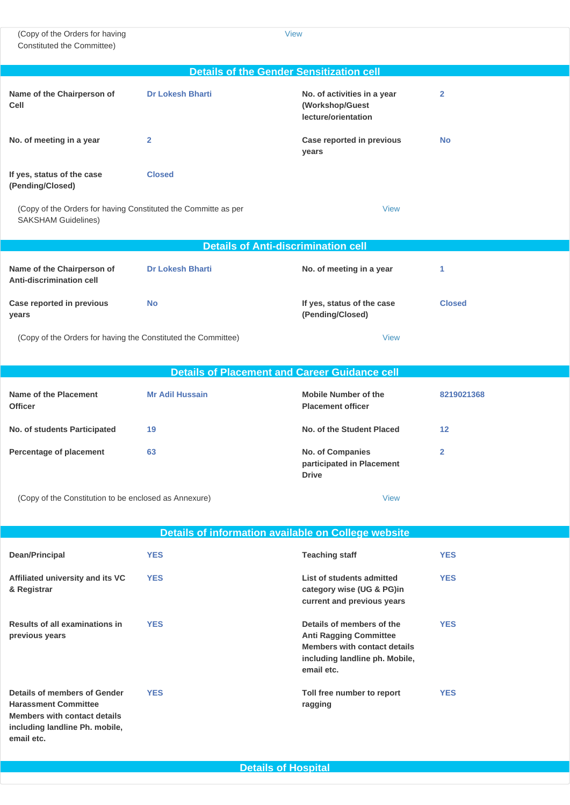(Copy of the Orders for having Constituted the Committee)

[View](http://www.sif.nic.in/institute/getmongoPdfFile.do?renreceiptid=c6fd85f9-7d00-4a98-8cef-cef4963b266e&tablename=antiragging)

|                                                                                              | <b>Details of the Gender Sensitization cell</b>      |                                                                       |                |
|----------------------------------------------------------------------------------------------|------------------------------------------------------|-----------------------------------------------------------------------|----------------|
| Name of the Chairperson of<br>Cell                                                           | <b>Dr Lokesh Bharti</b>                              | No. of activities in a year<br>(Workshop/Guest<br>lecture/orientation | $\overline{2}$ |
| No. of meeting in a year                                                                     | $\overline{2}$                                       | Case reported in previous<br>years                                    | <b>No</b>      |
| If yes, status of the case<br>(Pending/Closed)                                               | <b>Closed</b>                                        |                                                                       |                |
| (Copy of the Orders for having Constituted the Committe as per<br><b>SAKSHAM Guidelines)</b> |                                                      | <b>View</b>                                                           |                |
|                                                                                              | <b>Details of Anti-discrimination cell</b>           |                                                                       |                |
| Name of the Chairperson of<br>Anti-discrimination cell                                       | <b>Dr Lokesh Bharti</b>                              | No. of meeting in a year                                              | 1              |
| Case reported in previous<br>years                                                           | <b>No</b>                                            | If yes, status of the case<br>(Pending/Closed)                        | <b>Closed</b>  |
| (Copy of the Orders for having the Constituted the Committee)                                |                                                      | <b>View</b>                                                           |                |
|                                                                                              | <b>Details of Placement and Career Guidance cell</b> |                                                                       |                |
| <b>Name of the Placement</b><br><b>Officer</b>                                               | <b>Mr Adil Hussain</b>                               | <b>Mobile Number of the</b><br><b>Placement officer</b>               | 8219021368     |
| No. of students Participated                                                                 | 19                                                   | No. of the Student Placed                                             | 12             |
| Percentage of placement                                                                      | 63                                                   | No. of Companies<br>participated in Placement<br><b>Drive</b>         | $\overline{2}$ |

(Copy of the Constitution to be enclosed as Annexure) [View](http://www.sif.nic.in/institute/getmongoPdfFile.do?renreceiptid=be9c9cbb-9cf6-497b-a5ad-94400127b596&tablename=placement)

|                                                                                                                                                    | Details of information available on College website |                                                                                                                                            |            |
|----------------------------------------------------------------------------------------------------------------------------------------------------|-----------------------------------------------------|--------------------------------------------------------------------------------------------------------------------------------------------|------------|
| Dean/Principal                                                                                                                                     | <b>YES</b>                                          | <b>Teaching staff</b>                                                                                                                      | <b>YES</b> |
| Affiliated university and its VC<br>& Registrar                                                                                                    | <b>YES</b>                                          | List of students admitted<br>category wise (UG & PG)in<br>current and previous years                                                       | <b>YES</b> |
| Results of all examinations in<br>previous years                                                                                                   | <b>YES</b>                                          | Details of members of the<br><b>Anti Ragging Committee</b><br>Members with contact details<br>including landline ph. Mobile,<br>email etc. | <b>YES</b> |
| Details of members of Gender<br><b>Harassment Committee</b><br><b>Members with contact details</b><br>including landline Ph. mobile,<br>email etc. | <b>YES</b>                                          | Toll free number to report<br>ragging                                                                                                      | <b>YES</b> |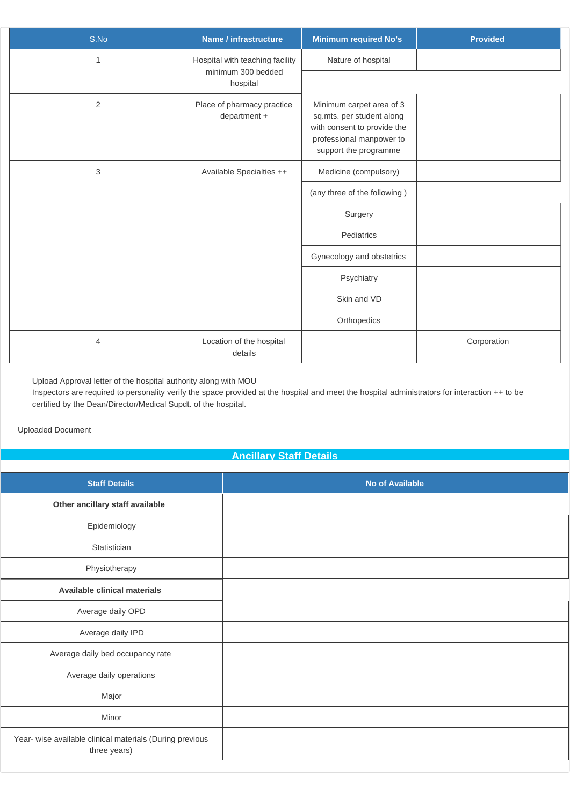| S.No           | Name / infrastructure                      | <b>Minimum required No's</b>                                                                                                              | <b>Provided</b> |
|----------------|--------------------------------------------|-------------------------------------------------------------------------------------------------------------------------------------------|-----------------|
| 1              | Hospital with teaching facility            | Nature of hospital                                                                                                                        |                 |
|                | minimum 300 bedded<br>hospital             |                                                                                                                                           |                 |
| $\overline{2}$ | Place of pharmacy practice<br>department + | Minimum carpet area of 3<br>sq.mts. per student along<br>with consent to provide the<br>professional manpower to<br>support the programme |                 |
| 3              | Available Specialties ++                   | Medicine (compulsory)                                                                                                                     |                 |
|                |                                            | (any three of the following)                                                                                                              |                 |
|                |                                            | Surgery                                                                                                                                   |                 |
|                |                                            | Pediatrics                                                                                                                                |                 |
|                |                                            | Gynecology and obstetrics                                                                                                                 |                 |
|                |                                            | Psychiatry                                                                                                                                |                 |
|                |                                            | Skin and VD                                                                                                                               |                 |
|                |                                            | Orthopedics                                                                                                                               |                 |
| 4              | Location of the hospital<br>details        |                                                                                                                                           | Corporation     |

â Upload Approval letter of the hospital authority along with MOU

a Inspectors are required to personality verify the space provided at the hospital and meet the hospital administrators for interaction ++ to be certified by the Dean/Director/Medical Supdt. of the hospital.

Uploaded Document

#### **Ancillary Staff Details**

| <b>Staff Details</b>                                                     | <b>No of Available</b> |
|--------------------------------------------------------------------------|------------------------|
| Other ancillary staff available                                          |                        |
| Epidemiology                                                             |                        |
| Statistician                                                             |                        |
| Physiotherapy                                                            |                        |
| Available clinical materials                                             |                        |
| Average daily OPD                                                        |                        |
| Average daily IPD                                                        |                        |
| Average daily bed occupancy rate                                         |                        |
| Average daily operations                                                 |                        |
| Major                                                                    |                        |
| Minor                                                                    |                        |
| Year- wise available clinical materials (During previous<br>three years) |                        |
|                                                                          |                        |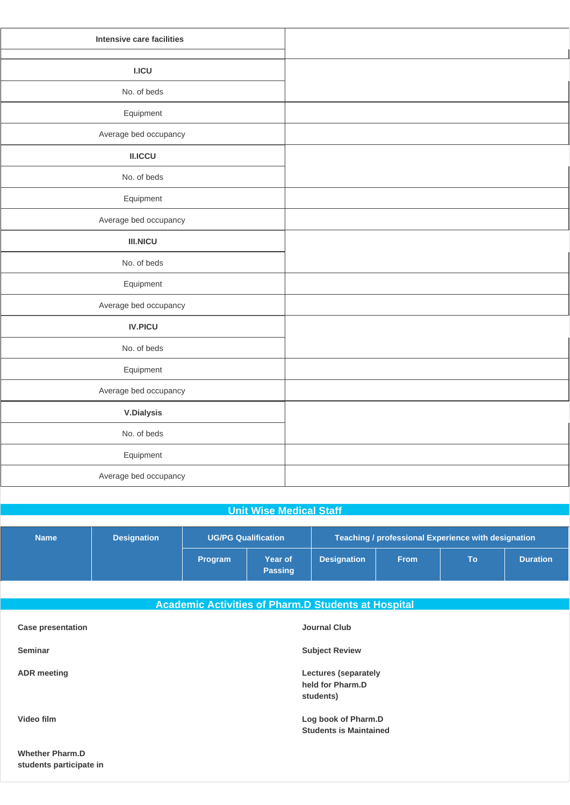| Intensive care facilities |  |
|---------------------------|--|
|                           |  |
| <b>I.ICU</b>              |  |
| No. of beds               |  |
| Equipment                 |  |
| Average bed occupancy     |  |
| II.ICCU                   |  |
| No. of beds               |  |
| Equipment                 |  |
| Average bed occupancy     |  |
| <b>III.NICU</b>           |  |
| No. of beds               |  |
| Equipment                 |  |
| Average bed occupancy     |  |
| <b>IV.PICU</b>            |  |
| No. of beds               |  |
| Equipment                 |  |
| Average bed occupancy     |  |
| <b>V.Dialysis</b>         |  |
| No. of beds               |  |
| Equipment                 |  |
| Average bed occupancy     |  |
|                           |  |

#### **Unit Wise Medical Staff**

| <b>Name</b> | <b>Designation</b> | <b>UG/PG Qualification</b> |                           | Teaching / professional Experience with designation |             |           |                 |
|-------------|--------------------|----------------------------|---------------------------|-----------------------------------------------------|-------------|-----------|-----------------|
|             |                    | <b>Program</b>             | Year of<br><b>Passing</b> | <b>Designation</b>                                  | <b>From</b> | <b>To</b> | <b>Duration</b> |

|                          | <b>Academic Activities of Pharm.D Students at Hospital</b>   |
|--------------------------|--------------------------------------------------------------|
| <b>Case presentation</b> | <b>Journal Club</b>                                          |
| <b>Seminar</b>           | <b>Subject Review</b>                                        |
| <b>ADR</b> meeting       | <b>Lectures (separately</b><br>held for Pharm.D<br>students) |
| Video film               | Log book of Pharm.D<br><b>Students is Maintained</b>         |
| <b>Whether Pharm.D</b>   |                                                              |